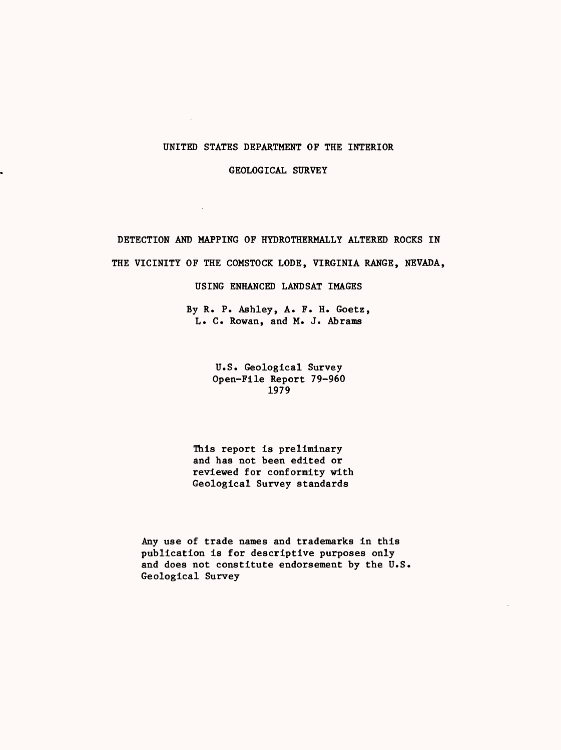# UNITED STATES DEPARTMENT OF THE INTERIOR

 $\sim$ 

GEOLOGICAL SURVEY

DETECTION AND MAPPING OF HYDROTHERMALLY ALTERED ROCKS IN THE VICINITY OF THE COMSTOCK LODE, VIRGINIA RANGE, NEVADA,

USING ENHANCED LANDSAT IMAGES

By R. P. Ashley, A. F. H. Goetz, L. C. Rowan, and M. J. Abrams

> U.S. Geological Survey Open-File Report 79-960 1979

This report is preliminary and has not been edited or reviewed for conformity with Geological Survey standards

Any use of trade names and trademarks in this publication is for descriptive purposes only and does not constitute endorsement by the U.S. Geological Survey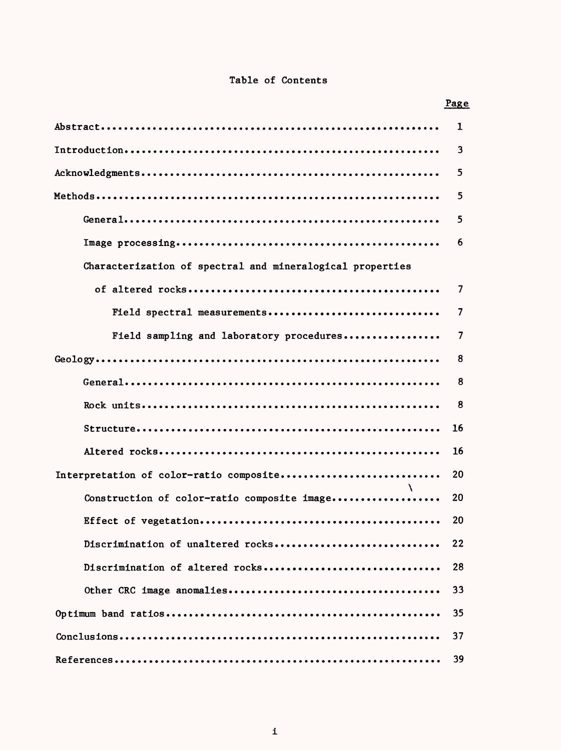# Table of Contents

|                                                           | <u>Page</u> |
|-----------------------------------------------------------|-------------|
|                                                           | 1           |
|                                                           | 3           |
|                                                           | 5.          |
|                                                           | 5           |
|                                                           | 5           |
|                                                           | 6           |
| Characterization of spectral and mineralogical properties |             |
|                                                           | 7           |
| Field spectral measurements                               | 7           |
| Field sampling and laboratory procedures                  | 7           |
|                                                           | 8           |
|                                                           | 8           |
|                                                           | 8           |
|                                                           | 16          |
|                                                           | 16          |
| Interpretation of color-ratio composite                   | 20          |
| Construction of color-ratio composite image               | 20          |
|                                                           | 20          |
| Discrimination of unaltered rocks                         | 22          |
| Discrimination of altered rocks                           | 28          |
|                                                           | 33          |
|                                                           | 35          |
|                                                           | 37          |
|                                                           | 39          |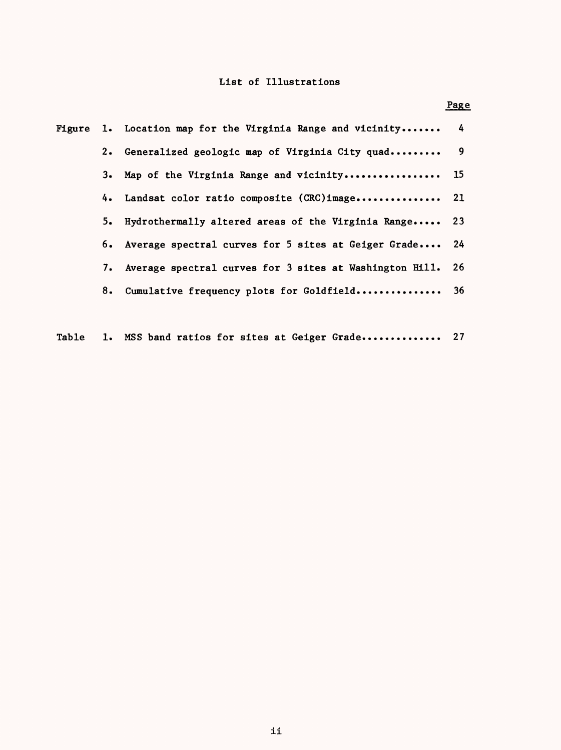# List of Illustrations

|    | Figure 1. Location map for the Virginia Range and vicinity 4  |  |
|----|---------------------------------------------------------------|--|
|    | 2. Generalized geologic map of Virginia City quad 9           |  |
|    | 3. Map of the Virginia Range and vicinity 15                  |  |
|    | 4. Landsat color ratio composite (CRC)image 21                |  |
| 5. | Hydrothermally altered areas of the Virginia Range 23         |  |
|    | 6. Average spectral curves for 5 sites at Geiger Grade 24     |  |
|    | 7. Average spectral curves for 3 sites at Washington Hill. 26 |  |
|    | 8. Cumulative frequency plots for Goldfield 36                |  |
|    |                                                               |  |

Table 1. MSS band ratios for sites at Geiger Grade............... 27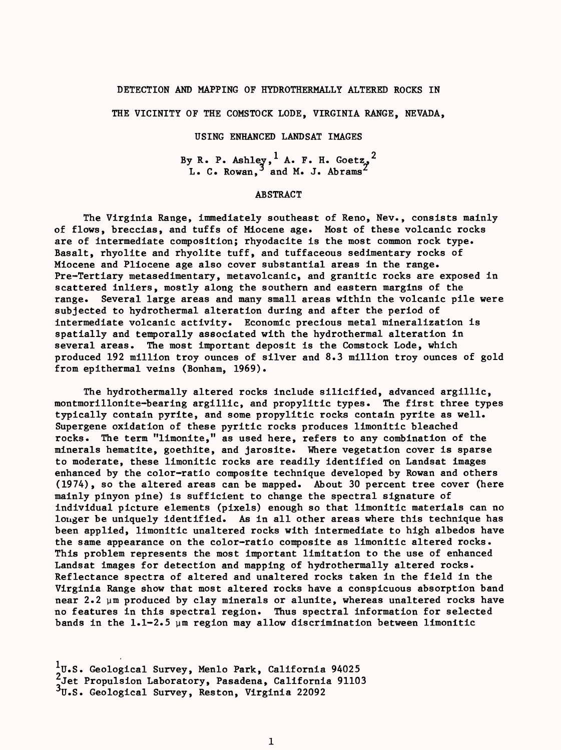# DETECTION AND MAPPING OF HYDROTHERMALLY ALTERED ROCKS IN

THE VICINITY OF THE COMSTOCK LODE, VIRGINIA RANGE, NEVADA,

# USING ENHANCED LANDSAT IMAGES

By R. P. Ashley,  $<sup>1</sup>$  A. F. H. Goetz,  $<sup>2</sup>$ </sup></sup>  $L. C. Rowan.<sup>3</sup>$  and M. J. Abrams

# ABSTRACT

The Virginia Range, immediately southeast of Reno, Nev., consists mainly of flows, breccias, and tuffs of Miocene age. Most of these volcanic rocks are of intermediate composition; rhyodacite is the most common rock type. Basalt, rhyolite and rhyolite tuff, and tuffaceous sedimentary rocks of Miocene and Pliocene age also cover substantial areas in the range. Pre-Tertiary metasedimentary, metavolcanic, and granitic rocks are exposed in scattered inliers, mostly along the southern and eastern margins of the range. Several large areas and many small areas within the volcanic pile were subjected to hydrothermal alteration during and after the period of intermediate volcanic activity. Economic precious metal mineralization is spatially and temporally associated with the hydrothermal alteration in several areas. The most important deposit is the Comstock Lode, which produced 192 million troy ounces of silver and 8.3 million troy ounces of gold from epithermal veins (Bonham, 1969).

The hydrothermally altered rocks include silicified, advanced argillic, montmorillonite-bearing argillic, and propylitic types. The first three types typically contain pyrite, and some propylitic rocks contain pyrite as well. Supergene oxidation of these pyritic rocks produces limonitic bleached rocks. The term "limonite," as used here, refers to any combination of the minerals hematite, goethite, and jarosite. Where vegetation cover is sparse to moderate, these limonitic rocks are readily identified on Landsat images enhanced by the color-ratio composite technique developed by Rowan and others (1974), so the altered areas can be mapped. About 30 percent tree cover (here mainly pinyon pine) is sufficient to change the spectral signature of individual picture elements (pixels) enough so that limonitic materials can no longer be uniquely identified. As in all other areas where this technique has been applied, limonitic unaltered rocks with intermediate to high albedos have the same appearance on the color-ratio composite as limonitic altered rocks. This problem represents the most important limitation to the use of enhanced Landsat images for detection and mapping of hydrothermally altered rocks. Reflectance spectra of altered and unaltered rocks taken in the field in the Virginia Range show that most altered rocks have a conspicuous absorption band near 2.2 ym produced by clay minerals or alunite, whereas unaltered rocks have no features in this spectral region. Thus spectral information for selected bands in the  $1.1-2.5$   $\mu$ m region may allow discrimination between limonitic

U.S. Geological Survey, Menlo Park, California 94025 2000: Secregaeur Sarvey, Manuel Manuel .<br>2Jet Propulsion Laboratory, Pasadena, California 91103 3U.S. Geological Survey, Reston, Virginia 22092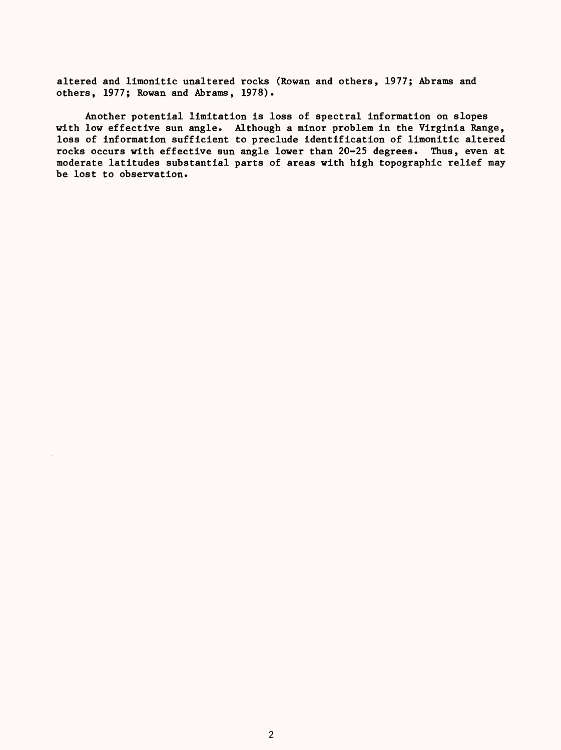altered and limonitic unaltered rocks (Rowan and others, 1977; Abrams and others, 1977; Rowan and Abrams, 1978).

Another potential limitation is loss of spectral information on slopes with low effective sun angle. Although a minor problem in the Virginia Range, loss of information sufficient to preclude identification of limonitic altered rocks occurs with effective sun angle lower than 20-25 degrees. Thus, even at moderate latitudes substantial parts of areas with high topographic relief may be lost to observation.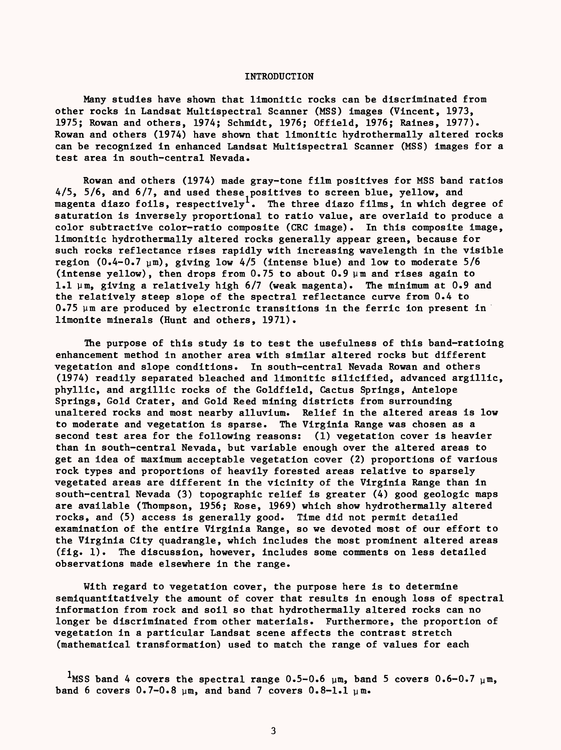# INTRODUCTION

Many studies have shown that limonitic rocks can be discriminated from other rocks in Landsat Multispectral Scanner (MSS) images (Vincent, 1973, 1975; Rowan and others, 1974; Schmidt, 1976; Offield, 1976; Raines, 1977). Rowan and others (1974) have shown that limonitic hydrothermally altered rocks can be recognized in enhanced Landsat Multispectral Scanner (MSS) images for a test area in south-central Nevada.

Rowan and others (1974) made gray-tone film positives for MSS band ratios 4/5, 5/6, and 6/7, and used these positives to screen blue, yellow, and magenta diazo foils, respectively<sup>1</sup>. The three diazo films, in which degree of saturation is inversely proportional to ratio value, are overlaid to produce a color subtractive color-ratio composite (CRC image). In this composite image, limonitic hydrothermally altered rocks generally appear green, because for such rocks reflectance rises rapidly with increasing wavelength in the visible region  $(0.4-0.7 \text{ µm})$ , giving low  $4/5$  (intense blue) and low to moderate  $5/6$ (intense yellow), then drops from  $0.75$  to about  $0.9 \mu m$  and rises again to 1.1  $\mu$ m, giving a relatively high  $6/7$  (weak magenta). The minimum at 0.9 and the relatively steep slope of the spectral reflectance curve from 0.4 to 0.75 ym are produced by electronic transitions in the ferric ion present in limonite minerals (Hunt and others, 1971).

The purpose of this study is to test the usefulness of this band-ratioing enhancement method in another area with similar altered rocks but different vegetation and slope conditions. In south-central Nevada Rowan and others (1974) readily separated bleached and limonitic silicified, advanced argillic, phyllic, and argillic rocks of the Goldfield, Cactus Springs, Antelope Springs, Gold Crater, and Gold Reed mining districts from surrounding unaltered rocks and most nearby alluvium. Relief in the altered areas is low to moderate and vegetation is sparse. The Virginia Range was chosen as a second test area for the following reasons: (1) vegetation cover is heavier than in south-central Nevada, but variable enough over the altered areas to get an idea of maximum acceptable vegetation cover (2) proportions of various rock types and proportions of heavily forested areas relative to sparsely vegetated areas are different in the vicinity of the Virginia Range than in south-central Nevada (3) topographic relief is greater (4) good geologic maps are available (Thompson, 1956; Rose, 1969) which show hydrothermally altered rocks, and (5) access is generally good. Time did not permit detailed examination of the entire Virginia Range, so we devoted most of our effort to the Virginia City quadrangle, which includes the most prominent altered areas (fig. 1). The discussion, however, includes some comments on less detailed observations made elsewhere in the range.

With regard to vegetation cover, the purpose here is to determine semiquantitatively the amount of cover that results in enough loss of spectral information from rock and soil so that hydrothermally altered rocks can no longer be discriminated from other materials. Furthermore, the proportion of vegetation in a particular Landsat scene affects the contrast stretch (mathematical transformation) used to match the range of values for each

<sup>1</sup>MSS band 4 covers the spectral range  $0.5-0.6$   $\mu$ m, band 5 covers  $0.6-0.7$   $\mu$ m, band 6 covers  $0.7-0.8$   $\mu$ m, and band 7 covers  $0.8-1.1$   $\mu$ m.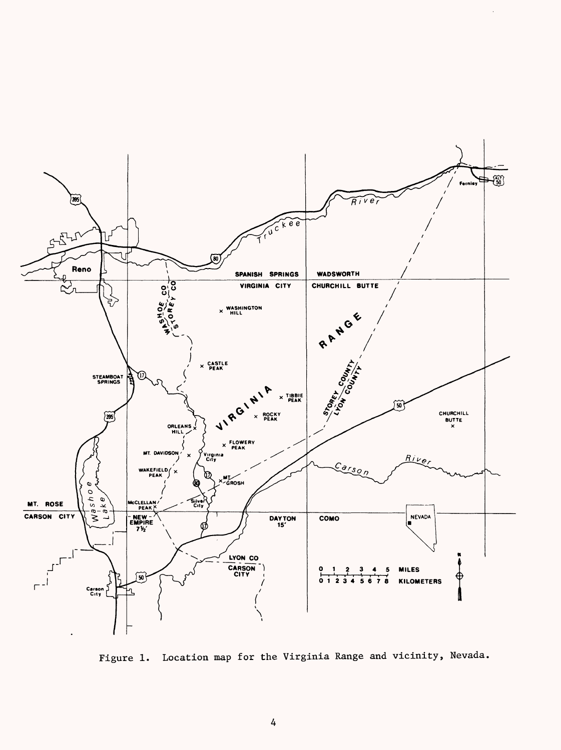

Figure 1. Location map for the Virginia Range and vicinity, Nevada.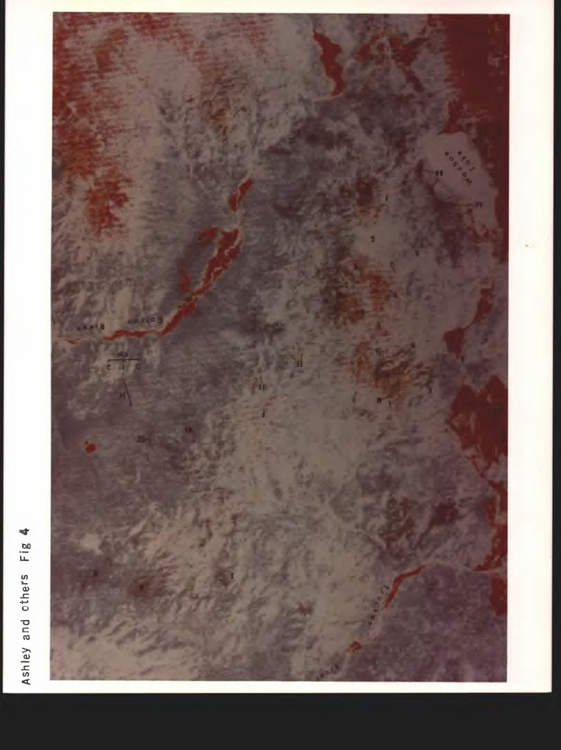

Ashley and others Fig 4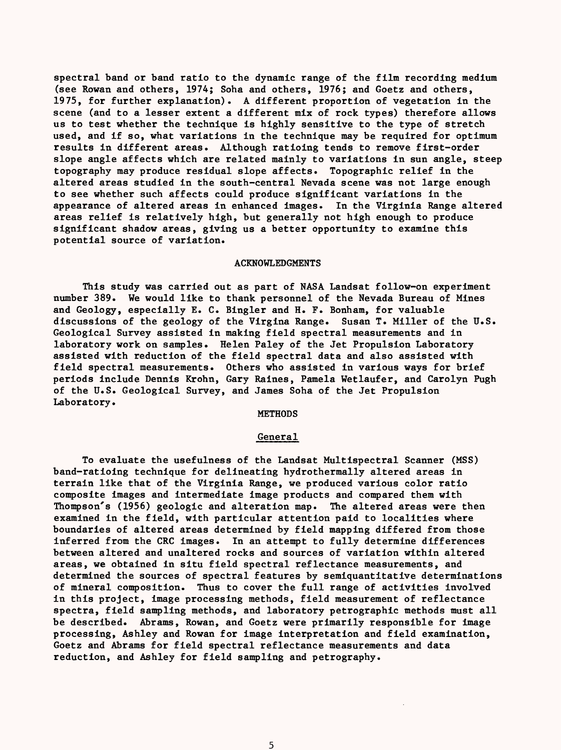spectral band or band ratio to the dynamic range of the film recording medium (see Rowan and others, 1974; Soha and others, 1976; and Goetz and others, 1975, for further explanation). A different proportion of vegetation in the scene (and to a lesser extent a different mix of rock types) therefore allows us to test whether the technique is highly sensitive to the type of stretch used, and if so, what variations in the technique may be required for optimum results in different areas. Although ratioing tends to remove first-order slope angle affects which are related mainly to variations in sun angle, steep topography may produce residual slope affects. Topographic relief in the altered areas studied in the south-central Nevada scene was not large enough to see whether such affects could produce significant variations in the appearance of altered areas in enhanced images. In the Virginia Range altered areas relief is relatively high, but generally not high enough to produce significant shadow areas, giving us a better opportunity to examine this potential source of variation.

#### ACKNOWLEDGMENTS

This study was carried out as part of NASA Landsat follow-on experiment number 389. We would like to thank personnel of the Nevada Bureau of Mines and Geology, especially E. C. Bingler and H. F. Bonham, for valuable discussions of the geology of the Virgina Range. Susan T. Miller of the U.S. Geological Survey assisted in making field spectral measurements and in laboratory work on samples. Helen Paley of the Jet Propulsion Laboratory assisted with reduction of the field spectral data and also assisted with field spectral measurements. Others who assisted in various ways for brief periods include Dennis Krohn, Gary Raines, Pamela Wetlaufer, and Carolyn Pugh of the U.S. Geological Survey, and James Soha of the Jet Propulsion Laboratory.

**METHODS** 

#### General

To evaluate the usefulness of the Landsat Multispectral Scanner (MSS) band-ratioing technique for delineating hydrothermally altered areas in terrain like that of the Virginia Range, we produced various color ratio composite images and intermediate image products and compared them with Thompson's (1956) geologic and alteration map. The altered areas were then examined in the field, with particular attention paid to localities where boundaries of altered areas determined by field mapping differed from those inferred from the CRC images. In an attempt to fully determine differences between altered and unaltered rocks and sources of variation within altered areas, we obtained in situ field spectral reflectance measurements, and determined the sources of spectral features by semiquantitative determinations of mineral composition. Thus to cover the full range of activities involved in this project, image processing methods, field measurement of reflectance spectra, field sampling methods, and laboratory petrographic methods must all be described. Abrams, Rowan, and Goetz were primarily responsible for image processing, Ashley and Rowan for image interpretation and field examination, Goetz and Abrams for field spectral reflectance measurements and data reduction, and Ashley for field sampling and petrography.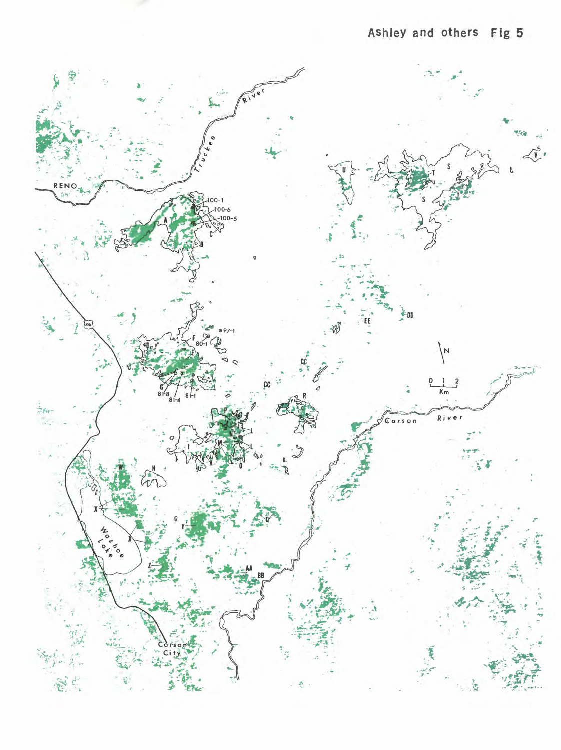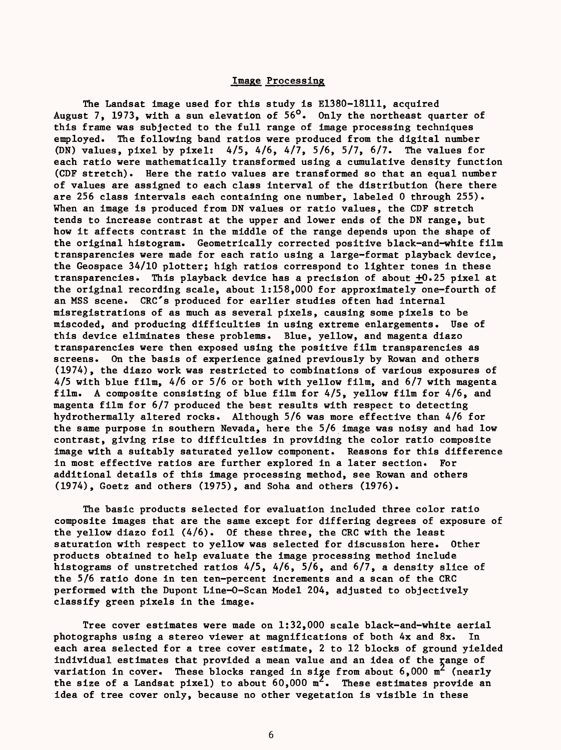# Image Processing

The Landsat image used for this study is E1380-18111, acquired August 7, 1973, with a sun elevation of 56°. Only the northeast quarter of this frame was subjected to the full range of image processing techniques employed. The following band ratios were produced from the digital number (DN) values, pixel by pixel: 4/5, 4/6, 4/7, 5/6, 5/7, 6/7. The values for each ratio were mathematically transformed using a cumulative density function (CDF stretch) Here the ratio values are transformed so that an equal number of values are assigned to each class interval of the distribution (here there are 256 class intervals each containing one number, labeled 0 through 255). When an image is produced from DN values or ratio values, the CDF stretch tends to increase contrast at the upper and lower ends of the DN range, but how it affects contrast in the middle of the range depends upon the shape of the original histogram. Geometrically corrected positive black-and-white film transparencies were made for each ratio using a large-format playback device, the Geospace 34/10 plotter; high ratios correspond to lighter tones in these transparencies. This playback device has a precision of about  $+0.25$  pixel at the original recording scale, about 1:158,000 for approximately one-fourth of an MSS scene. CRC's produced for earlier studies often had internal misregistrations of as much as several pixels, causing some pixels to be miscoded, and producing difficulties in using extreme enlargements. Use of this device eliminates these problems. Blue, yellow, and magenta diazo transparencies were then exposed using the positive film transparencies as screens. On the basis of experience gained previously by Rowan and others (1974), the diazo work was restricted to combinations of various exposures of 4/5 with blue film, 4/6 or 5/6 or both with yellow film, and 6/7 with magenta film. A composite consisting of blue film for 4/5, yellow film for 4/6, and magenta film for 6/7 produced the best results with respect to detecting hydrothermally altered rocks. Although 5/6 was more effective than 4/6 for the same purpose in southern Nevada, here the 5/6 image was noisy and had low contrast, giving rise to difficulties in providing the color ratio composite image with a suitably saturated yellow component. Reasons for this difference in most effective ratios are further explored in a later section. For additional details of this image processing method, see Rowan and others (1974), Goetz and others (1975), and Soha and others (1976).

The basic products selected for evaluation included three color ratio composite images that are the same except for differing degrees of exposure of the yellow diazo foil (4/6). Of these three, the CRC with the least saturation with respect to yellow was selected for discussion here. Other products obtained to help evaluate the image processing method include histograms of unstretched ratios 4/5, 4/6, 5/6, and 6/7, a density slice of the 5/6 ratio done in ten ten-percent increments and a scan of the CRC performed with the Dupont Line-0-Scan Model 204, adjusted to objectively classify green pixels in the image.

Tree cover estimates were made on 1:32,000 scale black-and-white aerial photographs using a stereo viewer at magnifications of both 4x and 8x. In each area selected for a tree cover estimate, 2 to 12 blocks of ground yielded individual estimates that provided a mean value and an idea of the range of variation in cover. These blocks ranged in size from about  $6,000 \text{ m}^2$  (nearly the size of a Landsat pixel) to about  $60,000 \text{ m}^2$ . These estimates provide an idea of tree cover only, because no other vegetation is visible in these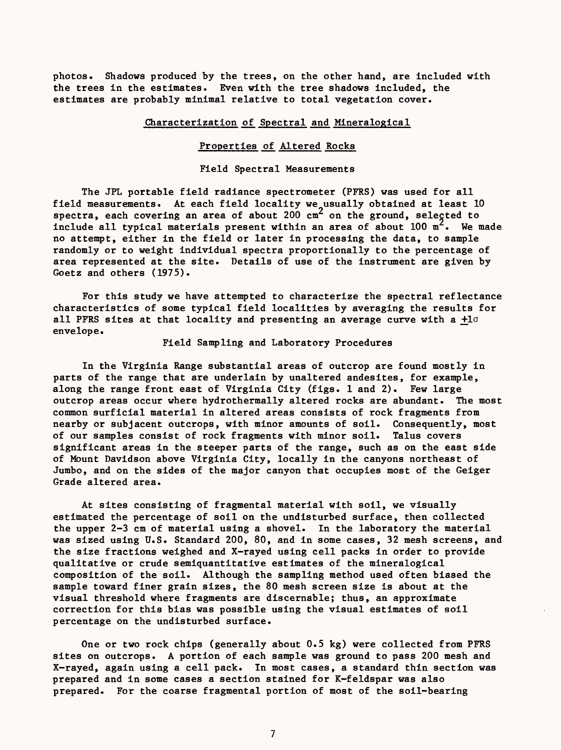photos. Shadows produced by the trees, on the other hand, are included with the trees in the estimates. Even with the tree shadows included, the estimates are probably minimal relative to total vegetation cover.

# Characterization of Spectral and Mineralogical

# Properties of Altered Rocks

# Field Spectral Measurements

The JPL portable field radiance spectrometer (PFRS) was used for all field measurements. At each field locality we usually obtained at least 10 spectra, each covering an area of about  $200 \text{ cm}^2$  on the ground, selected to include all typical materials present within an area of about  $100 \text{ m}^2$ . We made no attempt, either in the field or later in processing the data, to sample randomly or to weight individual spectra proportionally to the percentage of area represented at the site. Details of use of the instrument are given by Goetz and others (1975).

For this study we have attempted to characterize the spectral reflectance characteristics of some typical field localities by averaging the results for all PFRS sites at that locality and presenting an average curve with a  $+1\sigma$ envelope.

Field Sampling and Laboratory Procedures

In the Virginia Range substantial areas of outcrop are found mostly in parts of the range that are underlain by unaltered andesites, for example, along the range front east of Virginia City (figs. 1 and 2). Few large outcrop areas occur where hydrothermally altered rocks are abundant. The most common surficial material in altered areas consists of rock fragments from nearby or subjacent outcrops, with minor amounts of soil. Consequently, most of our samples consist of rock fragments with minor soil. Talus covers significant areas in the steeper parts of the range, such as on the east side of Mount Davidson above Virginia City, locally in the canyons northeast of Jumbo, and on the sides of the major canyon that occupies most of the Geiger Grade altered area.

At sites consisting of fragmental material with soil, we visually estimated the percentage of soil on the undisturbed surface, then collected the upper 2-3 cm of material using a shovel. In the laboratory the material was sized using U.S. Standard 200, 80, and in some cases, 32 mesh screens, and the size fractions weighed and X-rayed using cell packs in order to provide qualitative or crude semiquantitative estimates of the mineralogical composition of the soil. Although the sampling method used often biased the sample toward finer grain sizes, the 80 mesh screen size is about at the visual threshold where fragments are discernable; thus, an approximate correction for this bias was possible using the visual estimates of soil percentage on the undisturbed surface.

One or two rock chips (generally about 0.5 kg) were collected from PFRS sites on outcrops. A portion of each sample was ground to pass 200 mesh and X-rayed, again using a cell pack. In most cases, a standard thin section was prepared and in some cases a section stained for K-feldspar was also prepared. For the coarse fragmental portion of most of the soil-bearing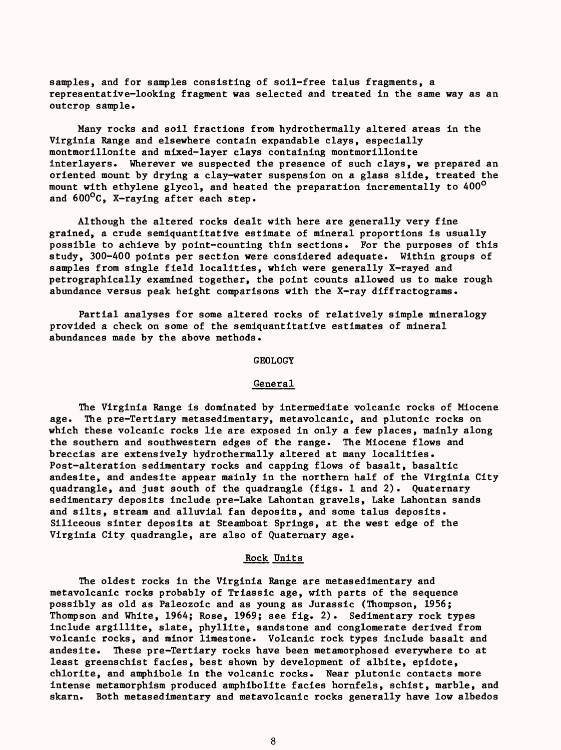samples, and for samples consisting of soil-free talus fragments, a representative-looking fragment was selected and treated in the same way as an outcrop sample.

Many rocks and soil fractions from hydrothermally altered areas in the Virginia Range and elsewhere contain expandable clays, especially montmorillonite and mixed-layer clays containing montmorillonite interlayers. Wherever we suspected the presence of such clays, we prepared an oriented mount by drying a clay-water suspension on a glass slide, treated the mount with ethylene glycol, and heated the preparation incrementally to 400<sup>o</sup> and 600°C, X-raying after each step.

Although the altered rocks dealt with here are generally very fine grained, a crude semiquantitative estimate of mineral proportions is usually possible to achieve by point-counting thin sections. For the purposes of this study, 300-400 points per section were considered adequate. Within groups of samples from single field localities, which were generally X-rayed and petrographically examined together, the point counts allowed us to make rough abundance versus peak height comparisons with the X-ray diffractograms.

Partial analyses for some altered rocks of relatively simple mineralogy provided a check on some of the semiquantitative estimates of mineral abundances made by the above methods.

## GEOLOGY

#### General

The Virginia Range is dominated by intermediate volcanic rocks of Miocene age. The pre-Tertiary metasedimentary, metavolcanic, and plutonic rocks on which these volcanic rocks lie are exposed in only a few places, mainly along the southern and southwestern edges of the range. The Miocene flows and breccias are extensively hydrothermally altered at many localities. Post-alteration sedimentary rocks and capping flows of basalt, basaltic andesite, and andesite appear mainly in the northern half of the Virginia City quadrangle, and just south of the quadrangle (figs. 1 and 2). Quaternary sedimentary deposits include pre-Lake Lahontan gravels, Lake Lahontan sands and silts, stream and alluvial fan deposits, and some talus deposits. Siliceous sinter deposits at Steamboat Springs, at the west edge of the Virginia City quadrangle, are also of Quaternary age.

# Rock Units

The oldest rocks in the Virginia Range are metasedimentary and metavolcanic rocks probably of Triassic age, with parts of the sequence possibly as old as Paleozoic and as young as Jurassic (Thompson, 1956; Thompson and White, 1964; Rose, 1969; see fig. 2). Sedimentary rock types include argillite, slate, phyllite, sandstone and conglomerate derived from volcanic rocks, and minor limestone. Volcanic rock types include basalt and andesite. These pre-Tertiary rocks have been metamorphosed everywhere to at least greenschist facies, best shown by development of albite, epidote, chlorite, and amphibole in the volcanic rocks. Near plutonic contacts more intense metamorphism produced amphibolite facies hornfels, schist, marble, and skarn. Both metasedimentary and metavolcanic rocks generally have low albedos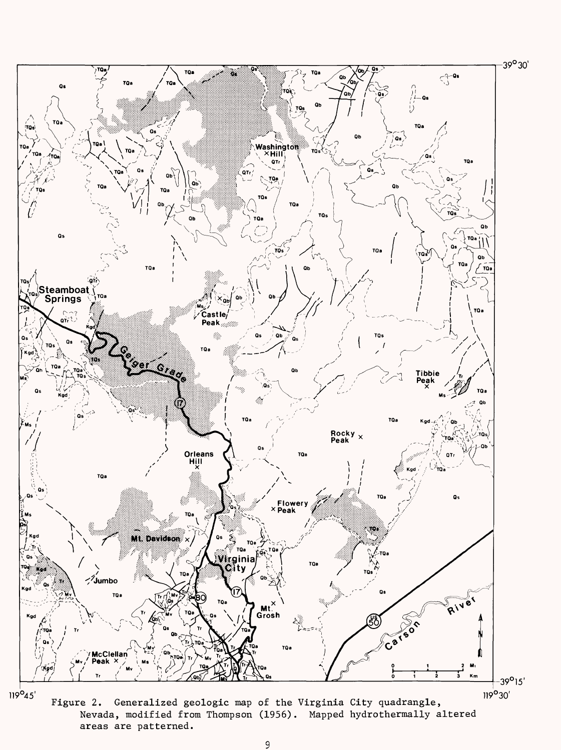

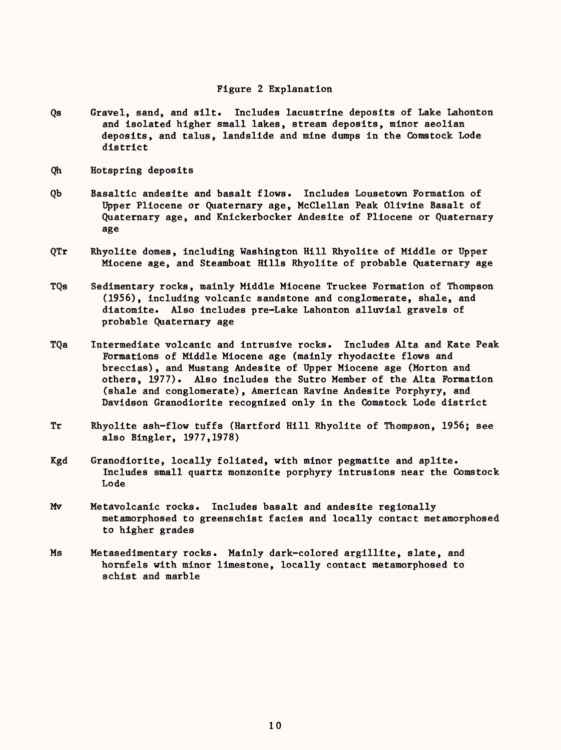# Figure 2 Explanation

- Qs Gravel, sand, and silt. Includes lacustrine deposits of Lake Lahonton and isolated higher small lakes, stream deposits, minor aeolian deposits, and talus, landslide and mine dumps in the Comstock Lode district
- Qh Hotspring deposits
- Qb Basaltic andesite and basalt flows. Includes Lousetown Formation of Upper Pliocene or Quaternary age, McClellan Peak Olivine Basalt of Quaternary age, and Knickerbocker Andesite of Pliocene or Quaternary age
- QTr Rhyolite domes, including Washington Hill Rhyolite of Middle or Upper Miocene age, and Steamboat Hills Rhyolite of probable Quaternary age
- TQs Sedimentary rocks, mainly Middle Miocene Truckee Formation of Thompson (1956), including volcanic sandstone and conglomerate, shale, and diatomite. Also includes pre-Lake Lahonton alluvial gravels of probable Quaternary age
- TQa Intermediate volcanic and intrusive rocks. Includes Alta and Kate Peak Formations of Middle Miocene age (mainly rhyodacite flows and breccias), and Mustang Andesite of Upper Miocene age (Morton and others, 1977). Also includes the Sutro Member of the Alta Formation (shale and conglomerate), American Ravine Andesite Porphyry, and Davidson Granodiorite recognized only in the Comstock Lode district
- Tr Rhyolite ash-flow tuffs (Hartford Hill Rhyolite of Thompson, 1956; see also Bingler, 1977,1978)
- Kgd Granodiorite, locally foliated, with minor pegmatite and aplite. Includes small quartz monzonite porphyry intrusions near the Comstock Lode
- Mv Metavolcanic rocks. Includes basalt and andesite regionally metamorphosed to greenschist facies and locally contact metamorphosed to higher grades
- Ms Metasedimentary rocks. Mainly dark-colored argillite, slate, and hornfels with minor limestone, locally contact metamorphosed to schist and marble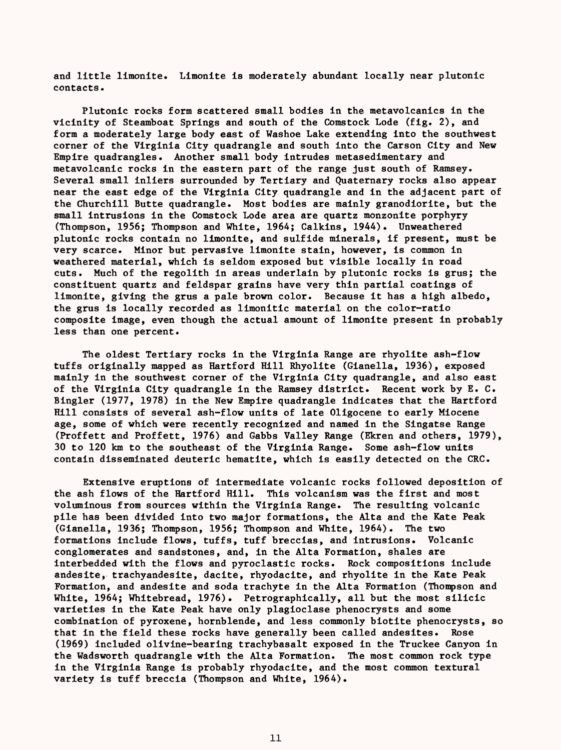and little limonite. Limonite is moderately abundant locally near plutonic contacts.

Plutonic rocks form scattered small bodies in the metavolcanics in the vicinity of Steamboat Springs and south of the Comstock Lode (fig. 2), and form a moderately large body east of Washoe Lake extending into the southwest corner of the Virginia City quadrangle and south into the Carson City and New Empire quadrangles. Another small body intrudes metasedimentary and metavolcanic rocks in the eastern part of the range just south of Ramsey. Several small inliers surrounded by Tertiary and Quaternary rocks also appear near the east edge of the Virginia City quadrangle and in the adjacent part of the Churchill Butte quadrangle. Most bodies are mainly granodiorite, but the small intrusions in the Comstock Lode area are quartz monzonite porphyry (Thompson, 1956; Thompson and White, 1964; Calkins, 1944). Unweathered plutonic rocks contain no limonite, and sulfide minerals, if present, must be very scarce. Minor but pervasive limonite stain, however, is common in weathered material, which is seldom exposed but visible locally in road cuts. Much of the regolith in areas underlain by plutonic rocks is grus; the constituent quartz and feldspar grains have very thin partial coatings of limonite, giving the grus a pale brown color. Because it has a high albedo, the grus is locally recorded as limonitic material on the color-ratio composite image, even though the actual amount of limonite present in probably less than one percent.

The oldest Tertiary rocks in the Virginia Range are rhyolite ash-flow tuffs originally mapped as Hartford Hill Rhyolite (Gianella, 1936), exposed mainly in the southwest corner of the Virginia City quadrangle, and also east of the Virginia City quadrangle in the Ramsey district. Recent work by E. C. Bingler (1977, 1978) in the New Empire quadrangle indicates that the Hartford Hill consists of several ash-flow units of late Oligocene to early Miocene age, some of which were recently recognized and named in the Singatse Range (Proffett and Proffett, 1976) and Gabbs Valley Range (Ekren and others, 1979), 30 to 120 km to the southeast of the Virginia Range. Some ash-flow units contain disseminated deuteric hematite, which is easily detected on the CRC.

Extensive eruptions of intermediate volcanic rocks followed deposition of the ash flows of the Hartford Hill. This volcanism was the first and most voluminous from sources within the Virginia Range. The resulting volcanic pile has been divided into two major formations, the Alta and the Kate Peak (Gianella, 1936; Thompson, 1956; Thompson and White, 1964). The two formations include flows, tuffs, tuff breccias, and intrusions. Volcanic conglomerates and sandstones, and, in the Alta Formation, shales are interbedded with the flows and pyroclastic rocks. Rock compositions include andesite, trachyandesite, dacite, rhyodacite, and rhyolite in the Kate Peak Formation, and andesite and soda trachyte in the Alta Formation (Thompson and White, 1964; Whitebread, 1976). Petrographically, all but the most silicic varieties in the Kate Peak have only plagioclase phenocrysts and some combination of pyroxene, hornblende, and less commonly biotite phenocrysts, so that in the field these rocks have generally been called andesites. Rose (1969) included olivine-bearing trachybasalt exposed in the Truckee Canyon in the Wadsworth quadrangle with the Alta Formation. The most common rock type in the Virginia Range is probably rhyodacite, and the most common textural variety is tuff breccia (Thompson and White, 1964).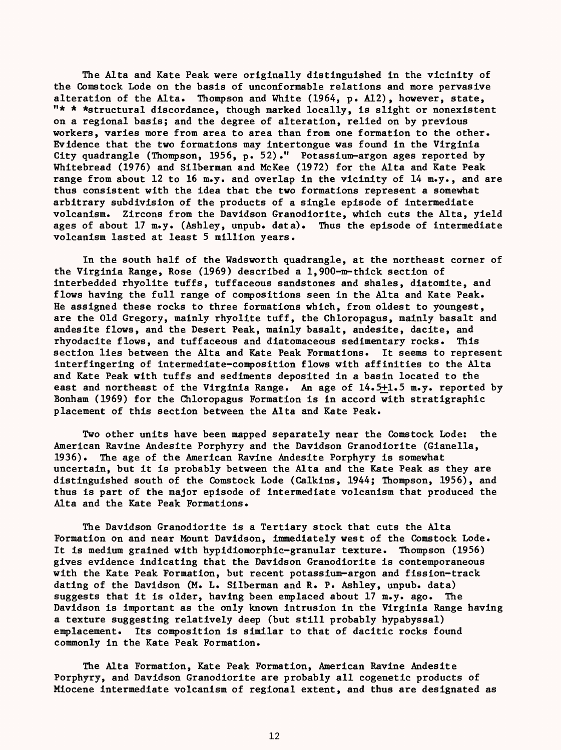The Alta and Kate Peak were originally distinguished in the vicinity of the Comstock Lode on the basis of unconformable relations and more pervasive alteration of the Alta. Thompson and White (1964, p. A12), however, state,  $"$ \* \* \*structural discordance, though marked locally, is slight or nonexistent on a regional basis; and the degree of alteration, relied on by previous workers, varies more from area to area than from one formation to the other. Evidence that the two formations may intertongue was found in the Virginia City quadrangle (Thompson, 1956, p. 52) ." Potassium-argon ages reported by Whitebread (1976) and Silberman and McKee (1972) for the Alta and Kate Peak range from about 12 to 16 m.y. and overlap in the vicinity of 14 m.y., and are thus consistent with the idea that the two formations represent a somewhat arbitrary subdivision of the products of a single episode of intermediate volcanism. Zircons from the Davidson Granodiorite, which cuts the Alta, yield ages of about 17 m.y. (Ashley, unpub. data). Thus the episode of intermediate volcanism lasted at least 5 million years.

In the south half of the Wadsworth quadrangle, at the northeast corner of the Virginia Range, Rose (1969) described a 1,900-m-thick section of interbedded rhyolite tuffs, tuffaceous sandstones and shales, diatomite, and flows having the full range of compositions seen in the Alta and Kate Peak. He assigned these rocks to three formations which, from oldest to youngest, are the Old Gregory, mainly rhyolite tuff, the Chloropagus, mainly basalt and andesite flows, and the Desert Peak, mainly basalt, andesite, dacite, and rhyodacite flows, and tuffaceous and diatomaceous sedimentary rocks. This section lies between the Alta and Kate Peak Formations. It seems to represent interfingering of intermediate-composition flows with affinities to the Alta and Kate Peak with tuffs and sediments deposited in a basin located to the east and northeast of the Virginia Range. An age of 14.5+1.5 m.y. reported by Bonham (1969) for the Chloropagus Formation is in accord with stratigraphic placement of this section between the Alta and Kate Peak.

Two other units have been mapped separately near the Comstock Lode: the American Ravine Andesite Porphyry and the Davidson Granodiorite (Gianella, 1936). The age of the American Ravine Andesite Porphyry is somewhat uncertain, but it is probably between the Alta and the Kate Peak as they are distinguished south of the Comstock Lode (Calkins, 1944; Thompson, 1956), and thus is part of the major episode of intermediate volcanism that produced the Alta and the Kate Peak Formations.

The Davidson Granodiorite is a Tertiary stock that cuts the Alta Formation on and near Mount Davidson, immediately west of the Comstock Lode. It is medium grained with hypidiomorphic-granular texture. Thompson (1956) gives evidence indicating that the Davidson Granodiorite is contemporaneous with the Kate Peak Formation, but recent potassium-argon and fission-track dating of the Davidson (M. L. Silberman and R. P. Ashley, unpub. data) suggests that it is older, having been emplaced about 17 m.y. ago. The Davidson is important as the only known intrusion in the Virginia Range having a texture suggesting relatively deep (but still probably hypabyssal) emplacement. Its composition is similar to that of dacitic rocks found commonly in the Kate Peak Formation.

The Alta Formation, Kate Peak Formation, American Ravine Andesite Porphyry, and Davidson Granodiorite are probably all cogenetic products of Miocene intermediate volcanism of regional extent, and thus are designated as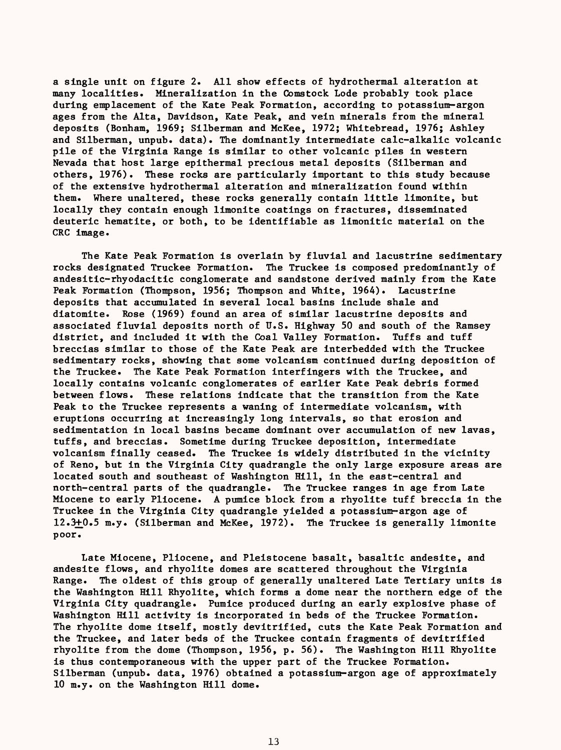a single unit on figure 2. All show effects of hydrothermal alteration at many localities. Mineralization in the Comstock Lode probably took place during emplacement of the Kate Peak Formation, according to potassium-argon ages from the Alta, Davidson, Kate Peak, and vein minerals from the mineral deposits (Bonham, 1969; Silberman and McKee, 1972; Whitebread, 1976; Ashley and Silberman, unpub. data). The dominantly intermediate calc-alkalic volcanic pile of the Virginia Range is similar to other volcanic piles in western Nevada that host large epithermal precious metal deposits (Silberman and others, 1976). These rocks are particularly important to this study because of the extensive hydrothermal alteration and mineralization found within them. Where unaltered, these rocks generally contain little limonite, but locally they contain enough limonite coatings on fractures, disseminated deuteric hematite, or both, to be identifiable as limonitic material on the CRC image.

The Kate Peak Formation is overlain by fluvial and lacustrine sedimentary rocks designated Truckee Formation. The Truckee is composed predominantly of andesitic-rhyodacitic conglomerate and sandstone derived mainly from the Kate Peak Formation (Thompson, 1956; Thompson and White, 1964). Lacustrine deposits that accumulated in several local basins include shale and diatomite. Rose (1969) found an area of similar lacustrine deposits and associated fluvial deposits north of U.S. Highway 50 and south of the Ramsey district, and included it with the Coal Valley Formation. Tuffs and tuff breccias similar to those of the Kate Peak are interbedded with the Truckee sedimentary rocks, showing that some volcanism continued during deposition of the Truckee. The Kate Peak Formation interfingers with the Truckee, and locally contains volcanic conglomerates of earlier Kate Peak debris formed between flows. These relations indicate that the transition from the Kate Peak to the Truckee represents a waning of intermediate volcanism, with eruptions occurring at increasingly long intervals, so that erosion and sedimentation in local basins became dominant over accumulation of new lavas, tuffs, and breccias. Sometime during Truckee deposition, intermediate volcanism finally ceased. The Truckee is widely distributed in the vicinity of Reno, but in the Virginia City quadrangle the only large exposure areas are located south and southeast of Washington Hill, in the east-central and north-central parts of the quadrangle. The Truckee ranges in age from Late Miocene to early Pliocene. A pumice block from a rhyolite tuff breccia in the Truckee in the Virginia City quadrangle yielded a potassium-argon age of 12.3+0.5 m.y. (Silberman and McKee, 1972). The Truckee is generally limonite poor.

Late Miocene, Pliocene, and Pleistocene basalt, basaltic andesite, and andesite flows, and rhyolite domes are scattered throughout the Virginia Range. The oldest of this group of generally unaltered Late Tertiary units is the Washington Hill Rhyolite, which forms a dome near the northern edge of the Virginia City quadrangle. Pumice produced during an early explosive phase of Washington Hill activity is incorporated in beds of the Truckee Formation. The rhyolite dome itself, mostly devitrified, cuts the Kate Peak Formation and the Truckee, and later beds of the Truckee contain fragments of devitrified rhyolite from the dome (Thompson, 1956, p. 56). The Washington Hill Rhyolite is thus contemporaneous with the upper part of the Truckee Formation. Silberman (unpub. data, 1976) obtained a potassium-argon age of approximately 10 m.y. on the Washington Hill dome.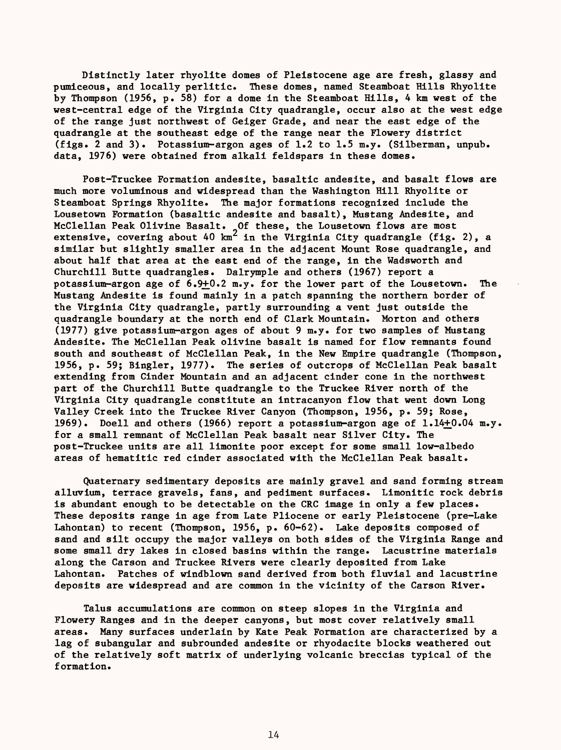Distinctly later rhyolite domes of Pleistocene age are fresh, glassy and pumiceous, and locally perlitic. These domes, named Steamboat Hills Rhyolite by Thompson (1956, p. 58) for a dome in the Steamboat Hills, 4 km west of the west-central edge of the Virginia City quadrangle, occur also at the west edge of the range just northwest of Geiger Grade, and near the east edge of the quadrangle at the southeast edge of the range near the Flowery district (figs. 2 and 3). Potassium-argon ages of 1.2 to 1.5 m.y. (Silberman, unpub. data, 1976) were obtained from alkali feldspars in these domes.

Post-Truckee Formation andesite, basaltic andesite, and basalt flows are much more voluminous and widespread than the Washington Hill Rhyolite or Steamboat Springs Rhyolite. The major formations recognized include the Lousetown Formation (basaltic andesite and basalt), Mustang Andesite, and McClellan Peak Olivine Basalt. Of these, the Lousetown flows are most extensive, covering about 40 km $^{\epsilon}$  in the Virginia City quadrangle (fig. 2), a similar but slightly smaller area in the adjacent Mount Rose quadrangle, and about half that area at the east end of the range, in the Wadsworth and Churchill Butte quadrangles. Dalrymple and others (1967) report a potassium-argon age of 6.9+0.2 m.y. for the lower part of the Lousetown. The Mustang Andesite is found mainly in a patch spanning the northern border of the Virginia City quadrangle, partly surrounding a vent just outside the quadrangle boundary at the north end of Clark Mountain. Morton and others (1977) give potassium-argon ages of about 9 m.y. for two samples of Mustang Andesite. The McClellan Peak olivine basalt is named for flow remnants found south and southeast of McClellan Peak, in the New Empire quadrangle (Thompson, 1956, p. 59; Bingler, 1977). The series of outcrops of McClellan Peak basalt extending from Cinder Mountain and an adjacent cinder cone in the northwest part of the Churchill Butte quadrangle to the Truckee River north of the Virginia City quadrangle constitute an intracanyon flow that went down Long Valley Creek into the Truckee River Canyon (Thompson, 1956, p. 59; Rose, 1969). Doell and others (1966) report a potassium-argon age of 1.14+0.04 m.y. for a small remnant of McClellan Peak basalt near Silver City. The post-Truckee units are all limonite poor except for some small low-albedo areas of hematitic red cinder associated with the McClellan Peak basalt.

Quaternary sedimentary deposits are mainly gravel and sand forming stream alluvium, terrace gravels, fans, and pediment surfaces. Limonitic rock debris is abundant enough to be detectable on the CRC image in only a few places. These deposits range in age from Late Pliocene or early Pleistocene (pre-Lake Lahontan) to recent (Thompson, 1956, p. 60-62). Lake deposits composed of sand and silt occupy the major valleys on both sides of the Virginia Range and some small dry lakes in closed basins within the range. Lacustrine materials along the Carson and Truckee Rivers were clearly deposited from Lake Lahontan. Patches of windblown sand derived from both fluvial and lacustrine deposits are widespread and are common in the vicinity of the Carson River.

Talus accumulations are common on steep slopes in the Virginia and Flowery Ranges and in the deeper canyons, but most cover relatively small areas. Many surfaces underlain by Kate Peak Formation are characterized by a lag of subangular and subrounded andesite or rhyodacite blocks weathered out of the relatively soft matrix of underlying volcanic breccias typical of the formation.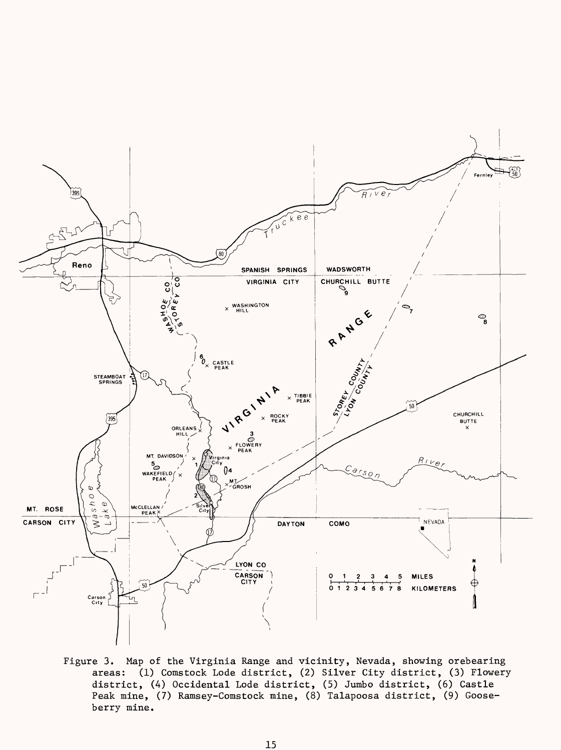

Figure 3. Map of the Virginia Range and vicinity, Nevada, showing orebearing areas: (1) Comstock Lode district, (2) Silver City district, (3) Flowery district, (4) Occidental Lode district, (5) Jumbo district, (6) Castle Peak mine, (7) Ramsey-Comstock mine, (8) Talapoosa district, (9) Gooseberry mine.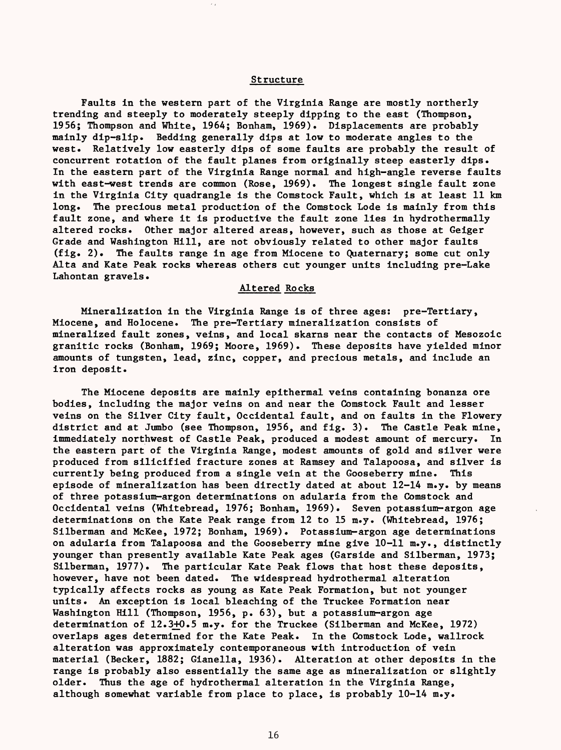## Structure

Faults in the western part of the Virginia Range are mostly northerly trending and steeply to moderately steeply dipping to the east (Thompson, 1956; Thompson and White, 1964; Bonham, 1969). Displacements are probably mainly dip-slip. Bedding generally dips at low to moderate angles to the west. Relatively low easterly dips of some faults are probably the result of concurrent rotation of the fault planes from originally steep easterly dips. In the eastern part of the Virginia Range normal and high-angle reverse faults with east-west trends are common (Rose, 1969). The longest single fault zone in the Virginia City quadrangle is the Comstock Fault, which is at least 11 km long. The precious metal production of the Comstock Lode is mainly from this fault zone, and where it is productive the fault zone lies in hydrothermally altered rocks. Other major altered areas, however, such as those at Geiger Grade and Washington Hill, are not obviously related to other major faults (fig. 2). The faults range in age from Miocene to Quaternary; some cut only Alta and Kate Peak rocks whereas others cut younger units including pre-Lake Lahontan gravels.

# Altered Rocks

Mineralization in the Virginia Range is of three ages: pre-Tertiary, Miocene, and Holocene. The pre-Tertiary mineralization consists of mineralized fault zones, veins, and local skarns near the contacts of Mesozoic granitic rocks (Bonham, 1969; Moore, 1969). These deposits have yielded minor amounts of tungsten, lead, zinc, copper, and precious metals, and include an iron deposit.

The Miocene deposits are mainly epithermal veins containing bonanza ore bodies, including the major veins on and near the Comstock Fault and lesser veins on the Silver City fault, Occidental fault, and on faults in the Flowery district and at Jumbo (see Thompson, 1956, and fig. 3). The Castle Peak mine, immediately northwest of Castle Peak, produced a modest amount of mercury. In the eastern part of the Virginia Range, modest amounts of gold and silver were produced from silicified fracture zones at Ramsey and Talapoosa, and silver is currently being produced from a single vein at the Gooseberry mine. This episode of mineralization has been directly dated at about 12-14 m.y. by means of three potassium-argon determinations on adularia from the Comstock and Occidental veins (Whitebread, 1976; Bonham, 1969). Seven potassium-argon age determinations on the Kate Peak range from 12 to 15 m.y. (Whitebread, 1976; Silberman and McKee, 1972; Bonham, 1969). Potassium-argon age determinations on adularia from Talapoosa and the Gooseberry mine give 10-11 m.y., distinctly younger than presently available Kate Peak ages (Garside and Silberman, 1973; Silberman, 1977). The particular Kate Peak flows that host these deposits, however, have not been dated. The widespread hydrothermal alteration typically affects rocks as young as Kate Peak Formation, but not younger units. An exception is local bleaching of the Truckee Formation near Washington Hill (Thompson, 1956, p. 63), but a potassium-argon age determination of 12.3+0.5 m.y. for the Truckee (Silberman and McKee, 1972) overlaps ages determined for the Kate Peak. In the Comstock Lode, wallrock alteration was approximately contemporaneous with introduction of vein material (Becker, 1882; Gianella, 1936). Alteration at other deposits in the range is probably also essentially the same age as mineralization or slightly older. Thus the age of hydrothermal alteration in the Virginia Range, although somewhat variable from place to place, is probably  $10-14$  m.y.

16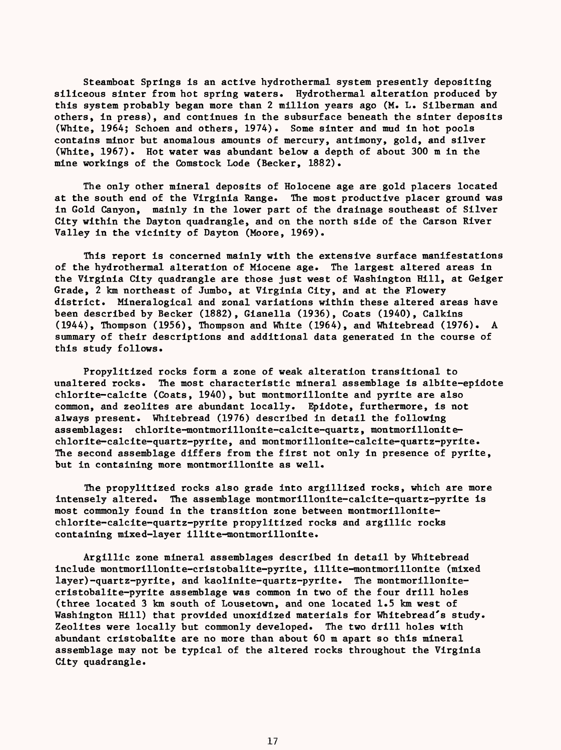Steamboat Springs is an active hydrothermal system presently depositing siliceous sinter from hot spring waters. Hydrothermal alteration produced by this system probably began more than 2 million years ago (M. L. Silberman and others, in press), and continues in the subsurface beneath the sinter deposits (White, 1964; Schoen and others, 1974). Some sinter and mud in hot pools contains minor but anomalous amounts of mercury, antimony, gold, and silver (White, 1967). Hot water was abundant below a depth of about 300 m in the mine workings of the Comstock Lode (Becker, 1882).

The only other mineral deposits of Holocene age are gold placers located at the south end of the Virginia Range. The most productive placer ground was in Gold Canyon, mainly in the lower part of the drainage southeast of Silver City within the Dayton quadrangle, and on the north side of the Carson River Valley in the vicinity of Dayton (Moore, 1969).

This report is concerned mainly with the extensive surface manifestations of the hydrothermal alteration of Miocene age. The largest altered areas in the Virginia City quadrangle are those just west of Washington Hill, at Geiger Grade, 2 km northeast of Jumbo, at Virginia City, and at the Flowery district. Mineralogical and zonal variations within these altered areas have been described by Becker (1882), Gianella (1936), Coats (1940), Calkins (1944), Thompson (1956), Thompson and White (1964), and Whitebread (1976). A summary of their descriptions and additional data generated in the course of this study follows.

Propylitized rocks form a zone of weak alteration transitional to unaltered rocks. The most characteristic mineral assemblage is albite-epidote chlorite-calcite (Coats, 1940), but montmorillonite and pyrite are also common, and zeolites are abundant locally. Epidote, furthermore, is not always present. Whitebread (1976) described in detail the following assemblages: chlorite-montmorillonite-calcite-quartz, montmorillonitechlorite-calcite-quartz-pyrite, and montmorillonite-calcite-quartz-pyrite. The second assemblage differs from the first not only in presence of pyrite, but in containing more montmorillonite as well.

The propylitized rocks also grade into argillized rocks, which are more intensely altered. The assemblage montmorillonite-calcite-quartz-pyrite is most commonly found in the transition zone between montmorillonitechlorite-calcite-quartz-pyrite propylitized rocks and argillic rocks containing mixed-layer illite-montmorillonite.

Argillic zone mineral assemblages described in detail by Whitebread include montmorillonite-cristobalite-pyrite, illite-montmorillonite (mixed layer)-quartz-pyrite, and kaolinite-quartz-pyrite. The montmorillonitecristobalite-pyrite assemblage was common in two of the four drill holes (three located 3 km south of Lousetown, and one located 1.5 km west of Washington Hill) that provided unoxidized materials for Whitebread's study. Zeolites were locally but commonly developed. The two drill holes with abundant cristobalite are no more than about 60 m apart so this mineral assemblage may not be typical of the altered rocks throughout the Virginia City quadrangle.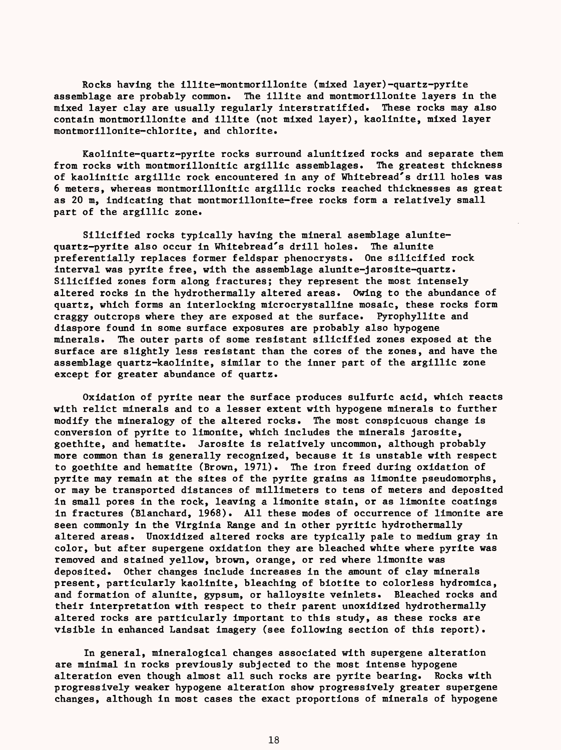Rocks having the illite-montmorillonite (mixed layer)-quartz-pyrite assemblage are probably common. The illite and montmorillonite layers in the mixed layer clay are usually regularly interstratified. These rocks may also contain montmorillonite and illite (not mixed layer), kaolinite, mixed layer montmorillonite-chlorite, and chlorite.

Kaolinite-quartz-pyrite rocks surround alunitized rocks and separate them from rocks with montmorillonitic argillic assemblages. The greatest thickness of kaolinitic argillic rock encountered in any of Whitebread's drill holes was 6 meters, whereas montmorillonitic argillic rocks reached thicknesses as great as 20 m, indicating that montmorillonite-free rocks form a relatively small part of the argillic zone.

Silicified rocks typically having the mineral asemblage alunitequartz-pyrite also occur in Whitebread's drill holes. The alunite preferentially replaces former feldspar phenocrysts. One silicified rock interval was pyrite free, with the assemblage alunite-jarosite-quartz. Silicified zones form along fractures; they represent the most intensely altered rocks in the hydrothermally altered areas. Owing to the abundance of quartz, which forms an interlocking microcrystalline mosaic, these rocks form craggy outcrops where they are exposed at the surface. Pyrophyllite and diaspore found in some surface exposures are probably also hypogene minerals. The outer parts of some resistant silicified zones exposed at the surface are slightly less resistant than the cores of the zones, and have the assemblage quartz-kaolinite, similar to the inner part of the argillic zone except for greater abundance of quartz.

Oxidation of pyrite near the surface produces sulfuric acid, which reacts with relict minerals and to a lesser extent with hypogene minerals to further modify the mineralogy of the altered rocks. The most conspicuous change is conversion of pyrite to limonite, which includes the minerals jarosite, goethite, and hematite. Jarosite is relatively uncommon, although probably more common than is generally recognized, because it is unstable with respect to goethite and hematite (Brown, 1971). The iron freed during oxidation of pyrite may remain at the sites of the pyrite grains as limonite pseudomorphs, or may be transported distances of millimeters to tens of meters and deposited in small pores in the rock, leaving a limonite stain, or as limonite coatings in fractures (Blanchard, 1968). All these modes of occurrence of limonite are seen commonly in the Virginia Range and in other pyritic hydrothermally altered areas. Unoxidized altered rocks are typically pale to medium gray in color, but after supergene oxidation they are bleached white where pyrite was removed and stained yellow, brown, orange, or red where limonite was deposited. Other changes include increases in the amount of clay minerals present, particularly kaolinite, bleaching of biotite to colorless hydromica, and formation of alunite, gypsum, or halloysite veinlets. Bleached rocks and their interpretation with respect to their parent unoxidized hydrothermally altered rocks are particularly important to this study, as these rocks are visible in enhanced Landsat imagery (see following section of this report)

In general, mineralogical changes associated with supergene alteration are minimal in rocks previously subjected to the most intense hypogene alteration even though almost all such rocks are pyrite bearing. Rocks with progressively weaker hypogene alteration show progressively greater supergene changes, although in most cases the exact proportions of minerals of hypogene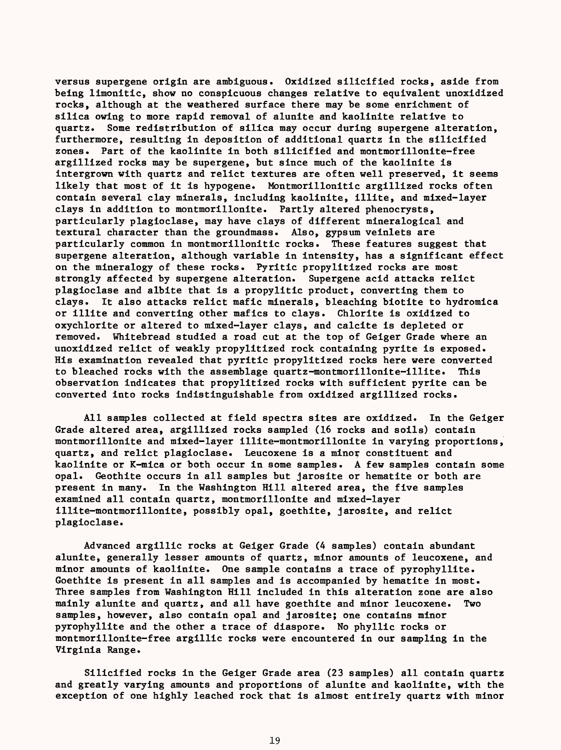versus supergene origin are ambiguous. Oxidized silicified rocks, aside from being limonitic, show no conspicuous changes relative to equivalent unoxidized rocks, although at the weathered surface there may be some enrichment of silica owing to more rapid removal of alunite and kaolinite relative to quartz. Some redistribution of silica may occur during supergene alteration, furthermore, resulting in deposition of additional quartz in the silicified zones. Part of the kaolinite in both silicified and montmorillonite-free argillized rocks may be supergene, but since much of the kaolinite is intergrown with quartz and relict textures are often well preserved, it seems likely that most of it is hypogene. Montmorillonitic argillized rocks often contain several clay minerals, including kaolinite, illite, and mixed-layer clays in addition to montmorillonite. Partly altered phenocrysts, particularly plagioclase, may have clays of different mineralogical and textural character than the groundmass. Also, gypsum veinlets are particularly common in montmorillonitic rocks. These features suggest that supergene alteration, although variable in intensity, has a significant effect on the mineralogy of these rocks. Pyritic propylitized rocks are most strongly affected by supergene alteration. Supergene acid attacks relict plagioclase and albite that is a propylitic product, converting them to clays. It also attacks relict mafic minerals, bleaching biotite to hydromica or illite and converting other mafics to clays. Chlorite is oxidized to oxychlorite or altered to mixed-layer clays, and calcite is depleted or removed. Whitebread studied a road cut at the top of Geiger Grade where an unoxidized relict of weakly propylitized rock containing pyrite is exposed. His examination revealed that pyritic propylitized rocks here were converted to bleached rocks with the assemblage quartz-montmorillonite-illite. This observation indicates that propylitized rocks with sufficient pyrite can be converted into rocks indistinguishable from oxidized argillized rocks.

All samples collected at field spectra sites are oxidized. In the Geiger Grade altered area, argillized rocks sampled (16 rocks and soils) contain montmorillonite and mixed-layer illite-montmorillonite in varying proportions, quartz, and relict plagioclase. Leucoxene is a minor constituent and kaolinite or K-mica or both occur in some samples. A few samples contain some opal. Geothite occurs in all samples but jarosite or hematite or both are present in many. In the Washington Hill altered area, the five samples examined all contain quartz, montmorillonite and mixed-layer illite-montmorillonite, possibly opal, goethite, jarosite, and relict plagioclase.

Advanced argillic rocks at Geiger Grade (4 samples) contain abundant alunite, generally lesser amounts of quartz, minor amounts of leucoxene, and minor amounts of kaolinite. One sample contains a trace of pyrophyllite. Goethite is present in all samples and is accompanied by hematite in most. Three samples from Washington Hill included in this alteration zone are also mainly alunite and quartz, and all have goethite and minor leucoxene. Two samples, however, also contain opal and jarosite; one contains minor pyrophyllite and the other a trace of diaspore. No phyllic rocks or montmorillonite-free argillic rocks were encountered in our sampling in the Virginia Range.

Silicified rocks in the Geiger Grade area (23 samples) all contain quartz and greatly varying amounts and proportions of alunite and kaolinite, with the exception of one highly leached rock that is almost entirely quartz with minor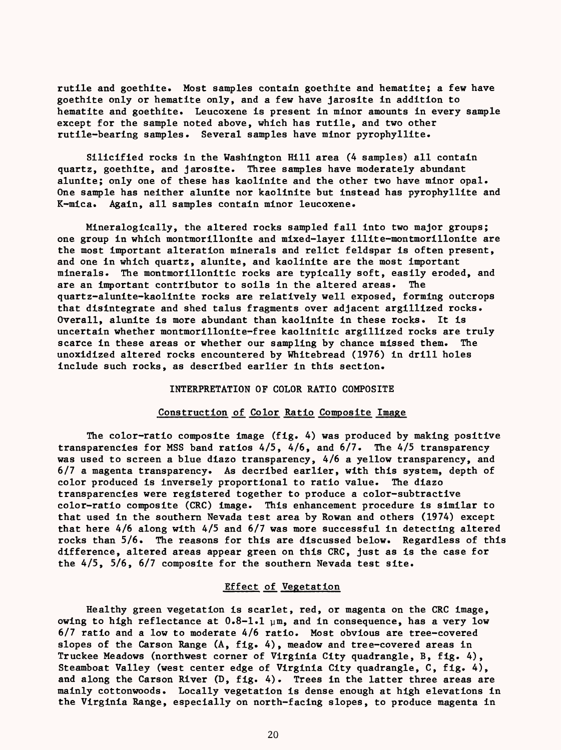rutile and goethlte. Most samples contain goethlte and hematite; a few have goethite only or hematite only, and a few have jarosite in addition to hematite and goethite. Leucoxene is present in minor amounts in every sample except for the sample noted above, which has rutile, and two other rutile-bearing samples. Several samples have minor pyrophyllite.

Silicified rocks in the Washington Hill area (4 samples) all contain quartz, goethite, and jarosite. Three samples have moderately abundant alunite; only one of these has kaolinite and the other two have minor opal. One sample has neither alunite nor kaolinite but instead has pyrophyllite and K-mica. Again, all samples contain minor leucoxene.

Mineralogically, the altered rocks sampled fall into two major groups; one group in which montmorillonite and mixed-layer illite-montmorillonite are the most important alteration minerals and relict feldspar is often present, and one in which quartz, alunite, and kaolinite are the most important minerals. The montmorillonitic rocks are typically soft, easily eroded, and are an important contributor to soils in the altered areas. The quartz-alunite-kaolinite rocks are relatively well exposed, forming outcrops that disintegrate and shed talus fragments over adjacent argillized rocks. Overall, alunite is more abundant than kaolinite in these rocks. It is uncertain whether montmorillonite-free kaolinitic argillized rocks are truly scarce in these areas or whether our sampling by chance missed them. The unoxidized altered rocks encountered by Whitebread (1976) in drill holes include such rocks, as described earlier in this section.

### INTERPRETATION OF COLOR RATIO COMPOSITE

## Construction of Color Ratio Composite Image

The color-ratio composite image (fig. 4) was produced by making positive transparencies for MSS band ratios 4/5, 4/6, and 6/7. The 4/5 transparency was used to screen a blue diazo transparency, 4/6 a yellow transparency, and 6/7 a magenta transparency. As decribed earlier, with this system, depth of color produced is inversely proportional to ratio value. The diazo transparencies were registered together to produce a color-subtractive color-ratio composite (CRC) image. This enhancement procedure is similar to that used in the southern Nevada test area by Rowan and others (1974) except that here 4/6 along with 4/5 and 6/7 was more successful in detecting altered rocks than 5/6. The reasons for this are discussed below. Regardless of this difference, altered areas appear green on this CRC, just as is the case for the 4/5, 5/6, 6/7 composite for the southern Nevada test site.

# Effect of Vegetation

Healthy green vegetation is scarlet, red, or magenta on the CRC image, owing to high reflectance at  $0.8-1.1$   $\mu$ m, and in consequence, has a very low 6/7 ratio and a low to moderate 4/6 ratio. Most obvious are tree-covered slopes of the Carson Range (A, fig. 4), meadow and tree-covered areas in Truckee Meadows (northwest corner of Virginia City quadrangle, B, fig. 4), Steamboat Valley (west center edge of Virginia City quadrangle, C, fig. 4), and along the Carson River  $(D, fig. 4)$ . Trees in the latter three areas are mainly cottonwoods. Locally vegetation is dense enough at high elevations in the Virginia Range, especially on north-facing slopes, to produce magenta in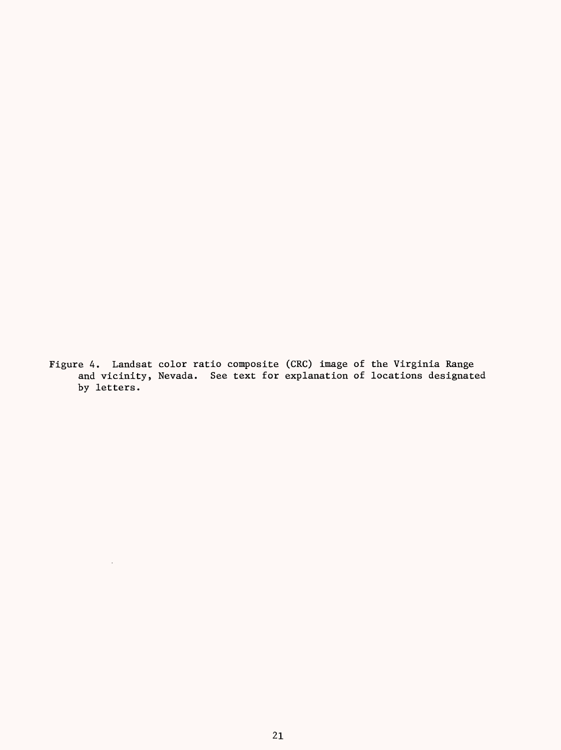Figure 4. Landsat color ratio composite (CRC) image of the Virginia Range and vicinity, Nevada. See text for explanation of locations designated by letters.

 $\sim$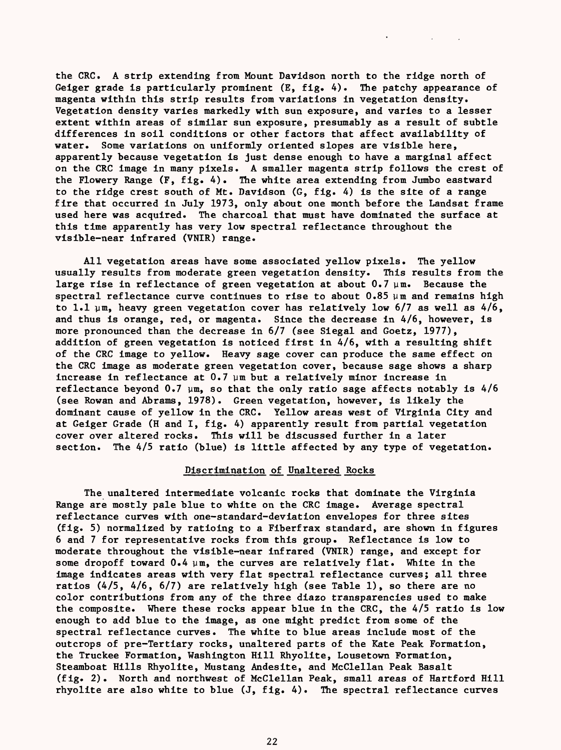the CRC. A strip extending from Mount Davidson north to the ridge north of Geiger grade is particularly prominent  $(E, f_1g, 4)$ . The patchy appearance of magenta within this strip results from variations in vegetation density. Vegetation density varies markedly with sun exposure, and varies to a lesser extent within areas of similar sun exposure, presumably as a result of subtle differences in soil conditions or other factors that affect availability of water. Some variations on uniformly oriented slopes are visible here, apparently because vegetation is just dense enough to have a marginal affect on the CRC image in many pixels. A smaller magenta strip follows the crest of the Flowery Range (F, fig. 4). The white area extending from Jumbo eastward to the ridge crest south of Mt. Davidson (G, fig. 4) is the site of a range fire that occurred in July 1973, only about one month before the Landsat frame used here was acquired. The charcoal that must have dominated the surface at this time apparently has very low spectral reflectance throughout the visible-near infrared (VNIR) range.

All vegetation areas have some associated yellow pixels. The yellow usually results from moderate green vegetation density. This results from the large rise in reflectance of green vegetation at about  $0.7 \mu m$ . Because the spectral reflectance curve continues to rise to about  $0.85 \mu m$  and remains high to 1.1  $\mu$ m, heavy green vegetation cover has relatively low 6/7 as well as 4/6, and thus is orange, red, or magenta. Since the decrease in 4/6, however, is more pronounced than the decrease in 6/7 (see Siegal and Goetz, 1977), addition of green vegetation is noticed first in 4/6, with a resulting shift of the CRC image to yellow. Heavy sage cover can produce the same effect on the CRC image as moderate green vegetation cover, because sage shows a sharp increase in reflectance at  $0.7 \mu m$  but a relatively minor increase in reflectance beyond 0.7  $\mu$ m, so that the only ratio sage affects notably is 4/6 (see Rowan and Abrams, 1978). Green vegetation, however, is likely the dominant cause of yellow in the CRC. Yellow areas west of Virginia City and at Geiger Grade (H and I, fig. 4) apparently result from partial vegetation cover over altered rocks. This will be discussed further in a later section. The 4/5 ratio (blue) is little affected by any type of vegetation.

# Discrimination of Unaltered Rocks

The unaltered intermediate volcanic rocks that dominate the Virginia Range are mostly pale blue to white on the CRC image. Average spectral reflectance curves with one-standard-deviation envelopes for three sites (fig. 5) normalized by ratioing to a Fiberfrax standard, are shown in figures 6 and 7 for representative rocks from this group. Reflectance is low to moderate throughout the visible-near infrared (VNIR) range, and except for some dropoff toward  $0.4 \mu m$ , the curves are relatively flat. White in the image indicates areas with very flat spectral reflectance curves; all three ratios (4/5, 4/6, 6/7) are relatively high (see Table 1), so there are no color contributions from any of the three diazo transparencies used to make the composite. Where these rocks appear blue in the CRC, the 4/5 ratio is low enough to add blue to the image, as one might predict from some of the spectral reflectance curves. The white to blue areas include most of the outcrops of pre-Tertiary rocks, unaltered parts of the Kate Peak Formation, the Truckee Formation, Washington Hill Rhyolite, Lousetown Formation, Steamboat Hills Rhyolite, Mustang Andesite, and McClellan Peak Basalt (fig. 2). North and northwest of McClellan Peak, small areas of Hartford Hill rhyolite are also white to blue (J, fig. 4). The spectral reflectance curves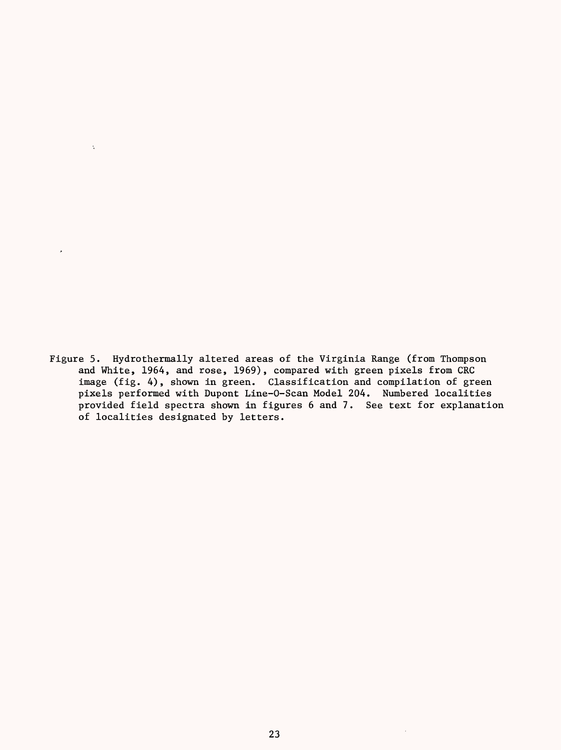Figure 5. Hydrothermally altered areas of the Virginia Range (from Thompson and White, 1964, and rose, 1969), compared with green pixels from CRC image (fig. 4), shown in green. Classification and compilation of green pixels performed with Dupont Line-0-Scan Model 204. Numbered localities provided field spectra shown in figures 6 and 7. See text for explanation of localities designated by letters.

 $\ddot{\psi}$ 

J,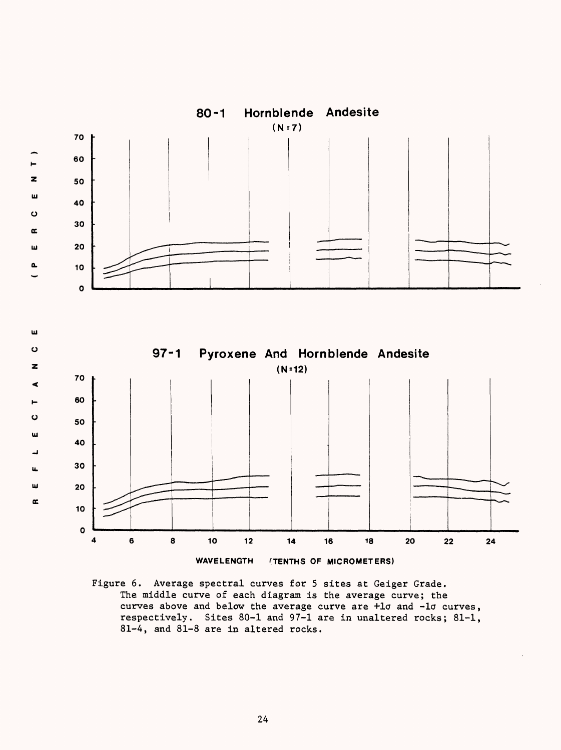

Figure 6. Average spectral curves for 5 sites at Geiger Grade. The middle curve of each diagram is the average curve; the curves above and below the average curve are +lo and -lo curves, respectively. Sites 80-1 and 97-1 are in unaltered rocks; 81-1, 81-4, and 81-8 are in altered rocks.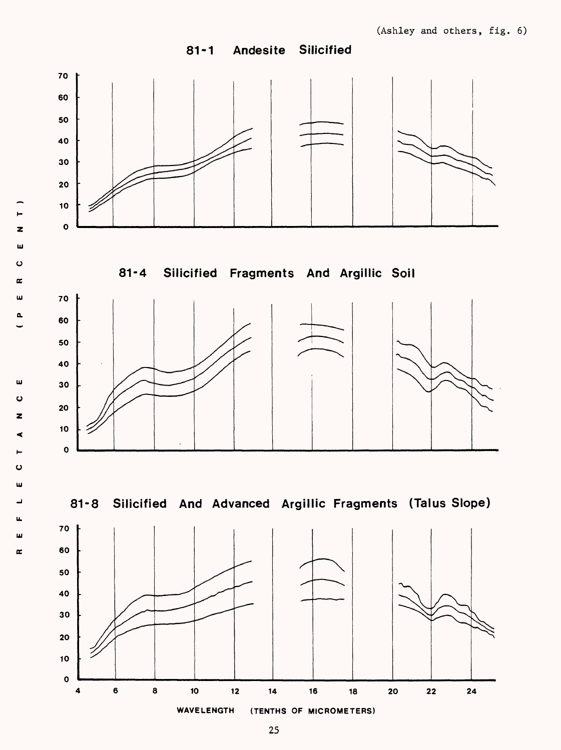81-1 Andesite Silicified



z UJ o oc UJ 0.

UJ o

z

o UJ \_l u. **Ui** oc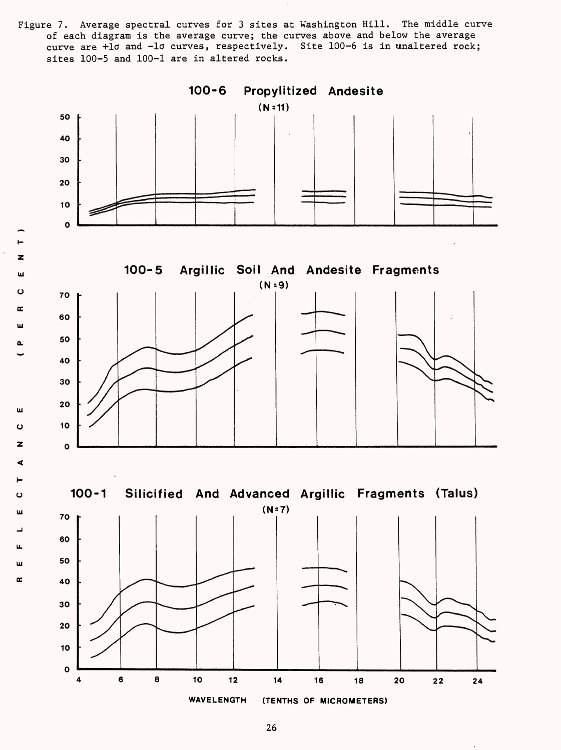Figure 7. Average spectral curves for 3 sites at Washington Hill. The middle curve of each diagram is the average curve; the curves above and below the average curve are +10 and -10 curves, respectively. Site 100-6 is in unaltered rock; sites 100-5 and 100-1 are in altered rocks.



 $\pmb{z}$ ш ပ  $\alpha$ ш

w Ō z ď

 $\ddot{\mathbf{C}}$ ш

Щ ш  $\mathbf{r}$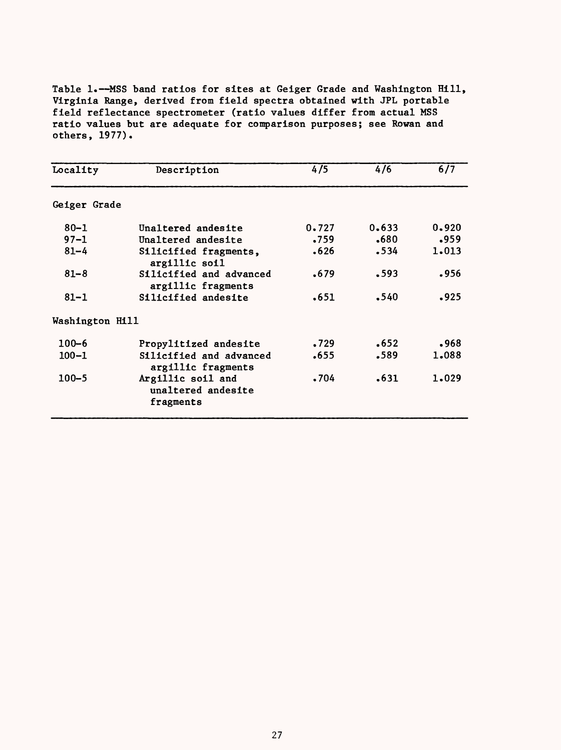Table 1.-MSS band ratios for sites at Geiger Grade and Washington Hill, Virginia Range, derived from field spectra obtained with JPL portable field reflectance spectrometer (ratio values differ from actual MSS ratio values but are adequate for comparison purposes; see Rowan and others, 1977).

| Locality        | Description                                          | 4/5   | 4/6   | 6/7   |
|-----------------|------------------------------------------------------|-------|-------|-------|
| Geiger Grade    |                                                      |       |       |       |
| $80 - 1$        | Unaltered andesite                                   | 0.727 | 0.633 | 0.920 |
| $97 - 1$        | Unaltered andesite                                   | .759  | .680  | .959  |
| $81 - 4$        | Silicified fragments,<br>argillic soil               | .626  | .534  | 1.013 |
| $81 - 8$        | Silicified and advanced<br>argillic fragments        | .679  | .593  | .956  |
| $81 - 1$        | Silicified andesite                                  | .651  | .540  | .925  |
| Washington Hill |                                                      |       |       |       |
| $100 - 6$       | Propylitized andesite                                | .729  | .652  | .968  |
| $100 - 1$       | Silicified and advanced<br>argillic fragments        | .655  | .589  | 1.088 |
| $100 - 5$       | Argillic soil and<br>unaltered andesite<br>fragments | .704  | .631  | 1,029 |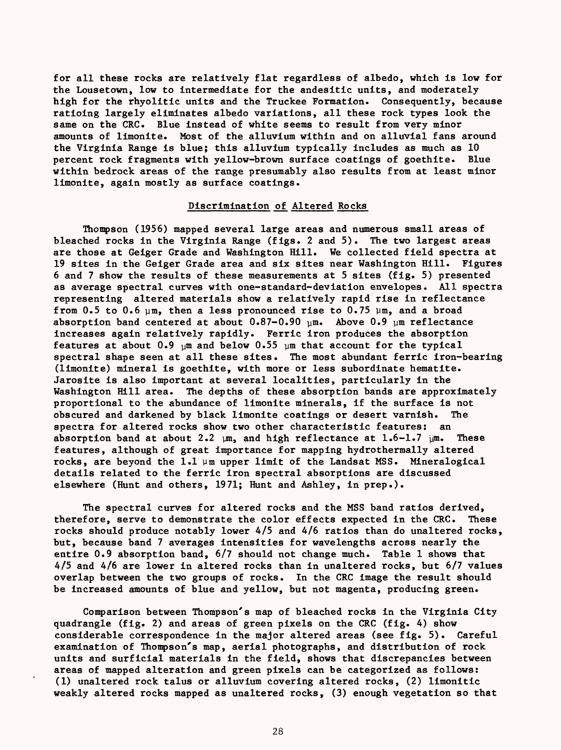for all these rocks are relatively flat regardless of albedo, which is low for the Lousetown, low to intermediate for the andesitic units, and moderately high for the rhyolitic units and the Truckee Formation. Consequently, because ratioing largely eliminates albedo variations, all these rock types look the same on the CRC. Blue instead of white seems to result from very minor amounts of limonite. Most of the alluvium within and on alluvial fans around the Virginia Range is blue; this alluvium typically includes as much as 10 percent rock fragments with yellow-brown surface coatings of goethite. Blue within bedrock areas of the range presumably also results from at least minor limonite, again mostly as surface coatings.

# Discrimination of Altered Rocks

Thompson (1956) mapped several large areas and numerous small areas of bleached rocks in the Virginia Range (figs. 2 and 5). The two largest areas are those at Geiger Grade and Washington Hill. We collected field spectra at 19 sites in the Geiger Grade area and six sites near Washington Hill. Figures 6 and 7 show the results of these measurements at 5 sites (fig. 5) presented as average spectral curves with one-standard-deviation envelopes. All spectra representing altered materials show a relatively rapid rise in reflectance from 0.5 to 0.6  $\mu$ m, then a less pronounced rise to 0.75  $\mu$ m, and a broad absorption band centered at about  $0.87-0.90$  um. Above  $0.9$  um reflectance increases again relatively rapidly. Ferric iron produces the absorption features at about  $0.9$  um and below  $0.55$  um that account for the typical spectral shape seen at all these sites. The most abundant ferric iron-bearing (limonite) mineral is goethite, with more or less subordinate hematite. Jarosite is also important at several localities, particularly in the Washington Hill area. The depths of these absorption bands are approximately proportional to the abundance of limonite minerals, if the surface is not obscured and darkened by black limonite coatings or desert varnish. The spectra for altered rocks show two other characteristic features: an absorption band at about 2.2  $\mu$ m, and high reflectance at 1.6-1.7  $\mu$ m. These features, although of great importance for mapping hydrothermally altered rocks, are beyond the 1.1  $\mu$ m upper limit of the Landsat MSS. Mineralogical details related to the ferric iron spectral absorptions are discussed elsewhere (Hunt and others, 1971; Hunt and Ashley, in prep.).

The spectral curves for altered rocks and the MSS band ratios derived, therefore, serve to demonstrate the color effects expected in the CRC. These rocks should produce notably lower 4/5 and 4/6 ratios than do unaltered rocks, but, because band 7 averages intensities for wavelengths across nearly the entire 0.9 absorption band, 6/7 should not change much. Table 1 shows that 4/5 and 4/6 are lower in altered rocks than in unaltered rocks, but 6/7 values overlap between the two groups of rocks. In the CRC image the result should be increased amounts of blue and yellow, but not magenta, producing green.

Comparison between Thompson's map of bleached rocks in the Virginia City quadrangle (fig. 2) and areas of green pixels on the CRC (fig. 4) show considerable correspondence in the major altered areas (see fig. 5). Careful examination of Thompson's map, aerial photographs, and distribution of rock units and surficial materials in the field, shows that discrepancies between areas of mapped alteration and green pixels can be categorized as follows: (1) unaltered rock talus or alluvium covering altered rocks, (2) limonitic weakly altered rocks mapped as unaltered rocks, (3) enough vegetation so that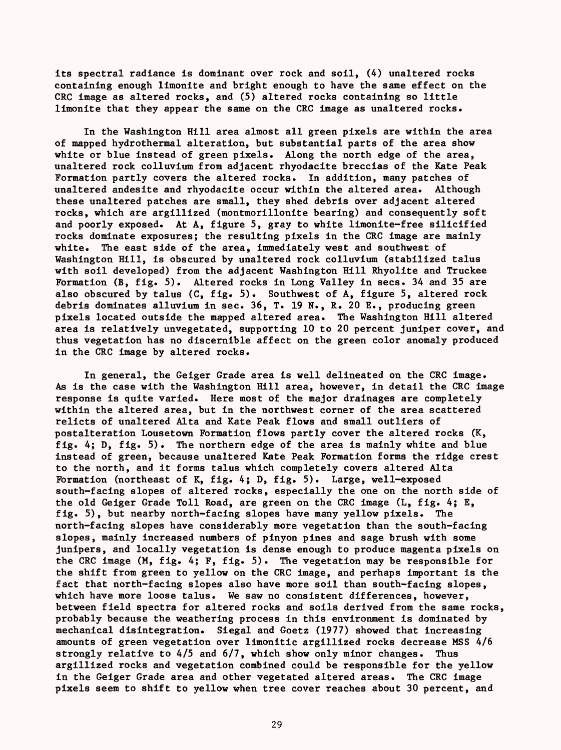its spectral radiance is dominant over rock and soil, (4) unaltered rocks containing enough limonite and bright enough to have the same effect on the CRC image as altered rocks, and (5) altered rocks containing so little limonite that they appear the same on the CRC image as unaltered rocks.

In the Washington Hill area almost all green pixels are within the area of mapped hydrothermal alteration, but substantial parts of the area show white or blue instead of green pixels. Along the north edge of the area, unaltered rock colluvium from adjacent rhyodacite breccias of the Kate Peak Formation partly covers the altered rocks. In addition, many patches of unaltered andesite and rhyodacite occur within the altered area. Although these unaltered patches are small, they shed debris over adjacent altered rocks, which are argillized (montmorillonite bearing) and consequently soft and poorly exposed. At A, figure 5, gray to white limonite-free silicified rocks dominate exposures; the resulting pixels in the CRC image are mainly white. The east side of the area, immediately west and southwest of Washington Hill, is obscured by unaltered rock colluvium (stabilized talus with soil developed) from the adjacent Washington Hill Rhyolite and Truckee Formation (B, fig. 5). Altered rocks in Long Valley in secs. 34 and 35 are also obscured by talus (C, fig. 5). Southwest of A, figure 5, altered rock debris dominates alluvium in sec. 36, T. 19 N., R. 20 E., producing green pixels located outside the mapped altered area. The Washington Hill altered area is relatively unvegetated, supporting 10 to 20 percent juniper cover, and thus vegetation has no discernible affect on the green color anomaly produced in the CRC image by altered rocks.

In general, the Geiger Grade area is well delineated on the CRC image. As is the case with the Washington Hill area, however, in detail the CRC image response is quite varied. Here most of the major drainages are completely within the altered area, but in the northwest corner of the area scattered relicts of unaltered Alta and Kate Peak flows and small outliers of postalteration Lousetown Formation flows partly cover the altered rocks (K, fig. 4; D, fig. 5). The northern edge of the area is mainly white and blue instead of green, because unaltered Kate Peak Formation forms the ridge crest to the north, and it forms talus which completely covers altered Alta Formation (northeast of K, fig. 4; D, fig. 5). Large, well-exposed south-facing slopes of altered rocks, especially the one on the north side of the old Geiger Grade Toll Road, are green on the CRC image (L, fig. 4; E, fig. 5), but nearby north-facing slopes have many yellow pixels. The north-facing slopes have considerably more vegetation than the south-facing slopes, mainly increased numbers of pinyon pines and sage brush with some junipers, and locally vegetation is dense enough to produce magenta pixels on the CRC image  $(M, fig. 4; F, fig. 5)$ . The vegetation may be responsible for the shift from green to yellow on the CRC image, and perhaps important is the fact that north-facing slopes also have more soil than south-facing slopes, which have more loose talus. We saw no consistent differences, however, between field spectra for altered rocks and soils derived from the same rocks, probably because the weathering process in this environment is dominated by mechanical disintegration. Siegal and Goetz (1977) showed that increasing amounts of green vegetation over limonitic argillized rocks decrease MSS 4/6 strongly relative to 4/5 and 6/7, which show only minor changes. Thus argillized rocks and vegetation combined could be responsible for the yellow in the Geiger Grade area and other vegetated altered areas. The CRC image pixels seem to shift to yellow when tree cover reaches about 30 percent, and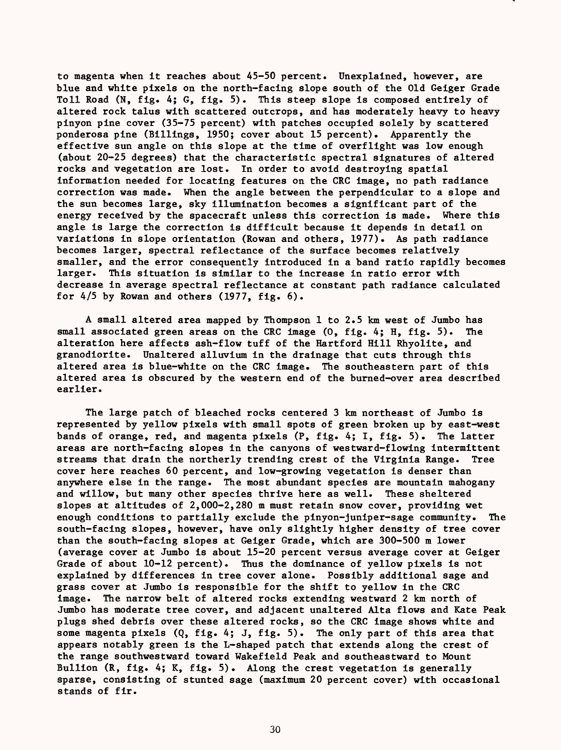to magenta when it reaches about 45-50 percent. Unexplained, however, are blue and white pixels on the north-facing slope south of the Old Geiger Grade Toll Road (N, fig. 4; G, fig. 5). This steep slope is composed entirely of altered rock talus with scattered outcrops, and has moderately heavy to heavy pinyon pine cover (35-75 percent) with patches occupied solely by scattered ponderosa pine (Billings, 1950; cover about 15 percent). Apparently the effective sun angle on this slope at the time of overflight was low enough (about 20-25 degrees) that the characteristic spectral signatures of altered rocks and vegetation are lost. In order to avoid destroying spatial information needed for locating features on the CRC image, no path radiance correction was made. When the angle between the perpendicular to a slope and the sun becomes large, sky illumination becomes a significant part of the energy received by the spacecraft unless this correction is made. Where this angle is large the correction is difficult because it depends in detail on variations in slope orientation (Rowan and others, 1977). As path radiance becomes larger, spectral reflectance of the surface becomes relatively smaller, and the error consequently introduced in a band ratio rapidly becomes larger. This situation is similar to the increase in ratio error with decrease in average spectral reflectance at constant path radiance calculated for  $4/5$  by Rowan and others (1977, fig.  $6$ ).

A small altered area mapped by Thompson 1 to  $2.5$  km west of Jumbo has small associated green areas on the CRC image (0, fig. 4; H, fig. 5). The alteration here affects ash-flow tuff of the Hartford Hill Rhyolite, and granodiorite. Unaltered alluvium in the drainage that cuts through this altered area is blue-white on the CRC image. The southeastern part of this altered area is obscured by the western end of the burned-over area described earlier.

The large patch of bleached rocks centered 3 km northeast of Jumbo is represented by yellow pixels with small spots of green broken up by east-west bands of orange, red, and magenta pixels (P, fig. 4; I, fig. 5). The latter areas are north-facing slopes in the canyons of westward-flowing intermittent streams that drain the northerly trending crest of the Virginia Range. Tree cover here reaches 60 percent, and low-growing vegetation is denser than anywhere else in the range. The most abundant species are mountain mahogany and willow, but many other species thrive here as well. These sheltered slopes at altitudes of 2,000-2,280 m must retain snow cover, providing wet enough conditions to partially exclude the pinyon-juniper-sage community. The south-facing slopes, however, have only slightly higher density of tree cover than the south-facing slopes at Geiger Grade, which are 300-500 m lower (average cover at Jumbo is about 15-20 percent versus average cover at Geiger Grade of about  $10-12$  percent). Thus the dominance of yellow pixels is not explained by differences in tree cover alone. Possibly additional sage and grass cover at Jumbo is responsible for the shift to yellow in the CRC image. The narrow belt of altered rocks extending westward 2 km north of Jumbo has moderate tree cover, and adjacent unaltered Alta flows and Kate Peak plugs shed debris over these altered rocks, so the CRC image shows white and some magenta pixels  $(Q, fig. 4; J, fig. 5)$ . The only part of this area that appears notably green is the L-shaped patch that extends along the crest of the range southwestward toward Wakefield Peak and southeastward to Mount Bullion  $(R, fig. 4; K, fig. 5)$ . Along the crest vegetation is generally sparse, consisting of stunted sage (maximum 20 percent cover) with occasional stands of fir.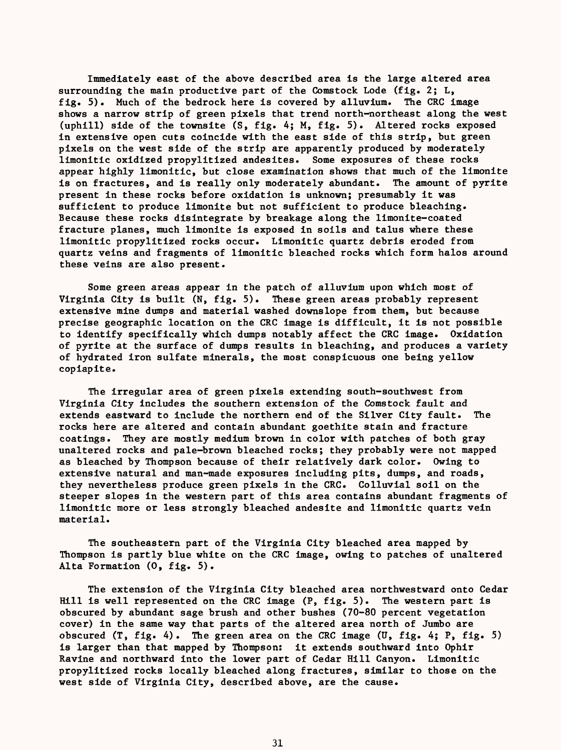Immediately east of the above described area is the large altered area surrounding the main productive part of the Comstock Lode (fig. 2; L, fig. 5). Much of the bedrock here is covered by alluvium. The CRC image shows a narrow strip of green pixels that trend north-northeast along the west (uphill) side of the townsite (S, fig. 4; M, fig. 5). Altered rocks exposed in extensive open cuts coincide with the east side of this strip, but green pixels on the west side of the strip are apparently produced by moderately limonitic oxidized propylitized andesites. Some exposures of these rocks appear highly limonitic, but close examination shows that much of the limonite is on fractures, and is really only moderately abundant. The amount of pyrite present in these rocks before oxidation is unknown; presumably it was sufficient to produce limonite but not sufficient to produce bleaching. Because these rocks disintegrate by breakage along the limonite-coated fracture planes, much limonite is exposed in soils and talus where these limonitic propylitized rocks occur. Limonitic quartz debris eroded from quartz veins and fragments of limonitic bleached rocks which form halos around these veins are also present.

Some green areas appear in the patch of alluvium upon which most of Virginia City is built (N, fig. 5). These green areas probably represent extensive mine dumps and material washed downslope from them, but because precise geographic location on the CRC image is difficult, it is not possible to identify specifically which dumps notably affect the CRC image. Oxidation of pyrite at the surface of dumps results in bleaching, and produces a variety of hydrated iron sulfate minerals, the most conspicuous one being yellow copiapite.

The irregular area of green pixels extending south-southwest from Virginia City includes the southern extension of the Comstock fault and extends eastward to include the northern end of the Silver City fault. The rocks here are altered and contain abundant goethite stain and fracture coatings. They are mostly medium brown in color with patches of both gray unaltered rocks and pale-brown bleached rocks; they probably were not mapped as bleached by Thompson because of their relatively dark color. Owing to extensive natural and man-made exposures including pits, dumps, and roads, they nevertheless produce green pixels in the CRC. Colluvial soil on the steeper slopes in the western part of this area contains abundant fragments of limonitic more or less strongly bleached andesite and limonitic quartz vein material.

The southeastern part of the Virginia City bleached area mapped by Thompson is partly blue white on the CRC image, owing to patches of unaltered Alta Formation (0, fig. 5).

The extension of the Virginia City bleached area northwestward onto Cedar Hill is well represented on the CRC image (P, fig. 5). The western part is obscured by abundant sage brush and other bushes (70-80 percent vegetation cover) in the same way that parts of the altered area north of Jumbo are obscured (T, fig. 4). The green area on the CRC image (U, fig. 4; P, fig. 5) is larger than that mapped by Thompson: it extends southward into Ophir Ravine and northward into the lower part of Cedar Hill Canyon. Limonitic propylitized rocks locally bleached along fractures, similar to those on the west side of Virginia City, described above, are the cause.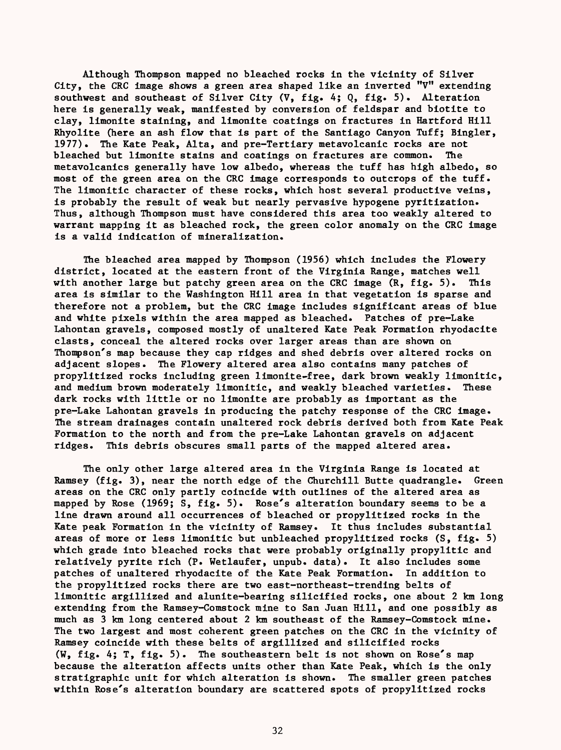Although Thompson mapped no bleached rocks in the vicinity of Silver City, the CRC image shows a green area shaped like an inverted "V" extending southwest and southeast of Silver City (V, fig. 4; Q, fig. 5). Alteration here is generally weak, manifested by conversion of feldspar and biotite to clay, limonite staining, and limonite coatings on fractures in Hartford Hill Khyolite (here an ash flow that is part of the Santiago Canyon Tuff; Bingler, 1977). The Kate Peak, Alta, and pre-Tertiary metavolcanic rocks are not bleached but limonite stains and coatings on fractures are common. The metavolcanics generally have low albedo, whereas the tuff has high albedo, so most of the green area on the CRC image corresponds to outcrops of the tuff. The limonitic character of these rocks, which host several productive veins, is probably the result of weak but nearly pervasive hypogene pyritization. Thus, although Thompson must have considered this area too weakly altered to warrant mapping it as bleached rock, the green color anomaly on the CRC image is a valid indication of mineralization.

The bleached area mapped by Thompson (1956) which includes the Flowery district, located at the eastern front of the Virginia Range, matches well with another large but patchy green area on the CRC image  $(R, fig. 5)$ . This area is similar to the Washington Hill area in that vegetation is sparse and therefore not a problem, but the CRC image includes significant areas of blue and white pixels within the area mapped as bleached. Patches of pre-Lake Lahontan gravels, composed mostly of unaltered Kate Peak Formation rhyodacite clasts, conceal the altered rocks over larger areas than are shown on Thompson's map because they cap ridges and shed debris over altered rocks on adjacent slopes. The Flowery altered area also contains many patches of propylitized rocks including green limonite-free, dark brown weakly limonitic, and medium brown moderately limonitic, and weakly bleached varieties. These dark rocks with little or no limonite are probably as important as the pre-Lake Lahontan gravels in producing the patchy response of the CRC image. The stream drainages contain unaltered rock debris derived both from Kate Peak Formation to the north and from the pre-Lake Lahontan gravels on adjacent ridges. This debris obscures small parts of the mapped altered area.

The only other large altered area in the Virginia Range is located at Ramsey (fig. 3), near the north edge of the Churchill Butte quadrangle. Green areas on the CRC only partly coincide with outlines of the altered area as mapped by Rose (1969; S, fig. 5). Rose's alteration boundary seems to be a line drawn around all occurrences of bleached or propylitized rocks in the Kate peak Formation in the vicinity of Ramsey. It thus includes substantial areas of more or less limonitic but unbleached propylitized rocks (S, fig. 5) which grade into bleached rocks that were probably originally propylitic and relatively pyrite rich (P. Wetlaufer, unpub. data). It also includes some patches of unaltered rhyodacite of the Kate Peak Formation. In addition to the propylitized rocks there are two east-northeast-trending belts of limonitic argillized and alunite-bearing silicified rocks, one about 2 km long extending from the Ramsey-Comstock mine to San Juan Hill, and one possibly as much as 3 km long centered about 2 km southeast of the Ramsey-Comstock mine. The two largest and most coherent green patches on the CRC in the vicinity of Ramsey coincide with these belts of argillized and silicified rocks (W, fig. 4; T, fig. 5). The southeastern belt is not shown on Rose's map because the alteration affects units other than Kate Peak, which is the only stratigraphic unit for which alteration is shown. The smaller green patches within Rose's alteration boundary are scattered spots of propylitized rocks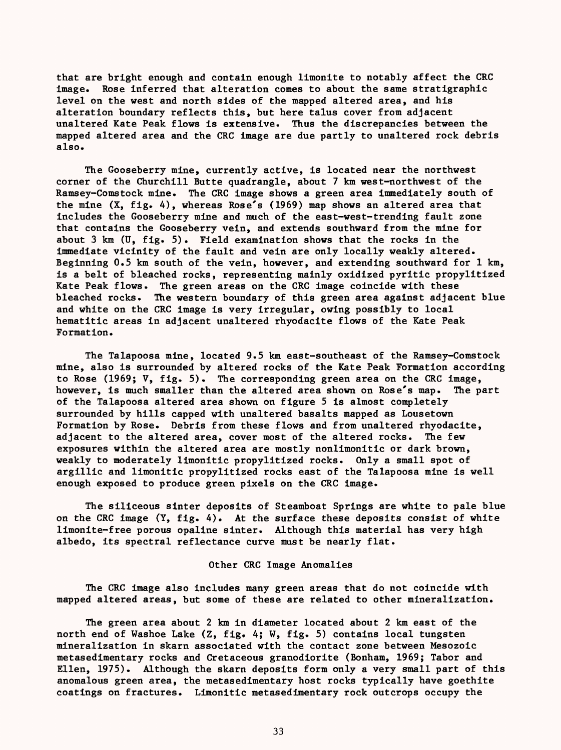that are bright enough and contain enough limonite to notably affect the CRC image. Rose inferred that alteration comes to about the same stratigraphic level on the west and north sides of the mapped altered area, and his alteration boundary reflects this, but here talus cover from adjacent unaltered Kate Peak flows is extensive. Thus the discrepancies between the mapped altered area and the CRC image are due partly to unaltered rock debris also.

The Gooseberry mine, currently active, is located near the northwest corner of the Churchill Butte quadrangle, about 7 km west-northwest of the Ramsey-Comstock mine. The CRC image shows a green area immediately south of the mine  $(X, fig. 4)$ , whereas Rose's (1969) map shows an altered area that includes the Gooseberry mine and much of the east-west-trending fault zone that contains the Gooseberry vein, and extends southward from the mine for about  $3 \text{ km}$  (U, fig. 5). Field examination shows that the rocks in the immediate vicinity of the fault and vein are only locally weakly altered. Beginning 0.5 km south of the vein, however, and extending southward for 1 km, is a belt of bleached rocks, representing mainly oxidized pyritic propylitized Kate Peak flows. The green areas on the CRC image coincide with these bleached rocks. The western boundary of this green area against adjacent blue and white on the CRC image is very irregular, owing possibly to local hematitic areas in adjacent unaltered rhyodacite flows of the Kate Peak Formation.

The Talapoosa mine, located 9.5 km east-southeast of the Ramsey-Comstock mine, also is surrounded by altered rocks of the Kate Peak Formation according to Rose (1969;  $V$ , fig. 5). The corresponding green area on the CRC image, however, is much smaller than the altered area shown on Rose's map. The part of the Talapoosa altered area shown on figure 5 is almost completely surrounded by hills capped with unaltered basalts mapped as Lousetown Formation by Rose. Debris from these flows and from unaltered rhyodacite, adjacent to the altered area, cover most of the altered rocks. The few exposures within the altered area are mostly nonlimonitic or dark brown, weakly to moderately limonitic propylitized rocks. Only a small spot of argillic and limonitic propylitized rocks east of the Talapoosa mine is well enough exposed to produce green pixels on the CRC image.

The siliceous sinter deposits of Steamboat Springs are white to pale blue on the CRC image  $(Y, fig, 4)$ . At the surface these deposits consist of white limonite-free porous opaline sinter. Although this material has very high albedo, its spectral reflectance curve must be nearly flat.

#### Other CRC Image Anomalies

The CRC image also includes many green areas that do not coincide with mapped altered areas, but some of these are related to other mineralization.

The green area about 2 km in diameter located about 2 km east of the north end of Washoe Lake (Z, fig. 4; W, fig. 5) contains local tungsten mineralization in skarn associated with the contact zone between Mesozoic metasedimentary rocks and Cretaceous granodiorite (Bonham, 1969; Tabor and Ellen, 1975). Although the skarn deposits form only a very small part of this anomalous green area, the metasedimentary host rocks typically have goethite coatings on fractures. Limonitic metasedimentary rock outcrops occupy the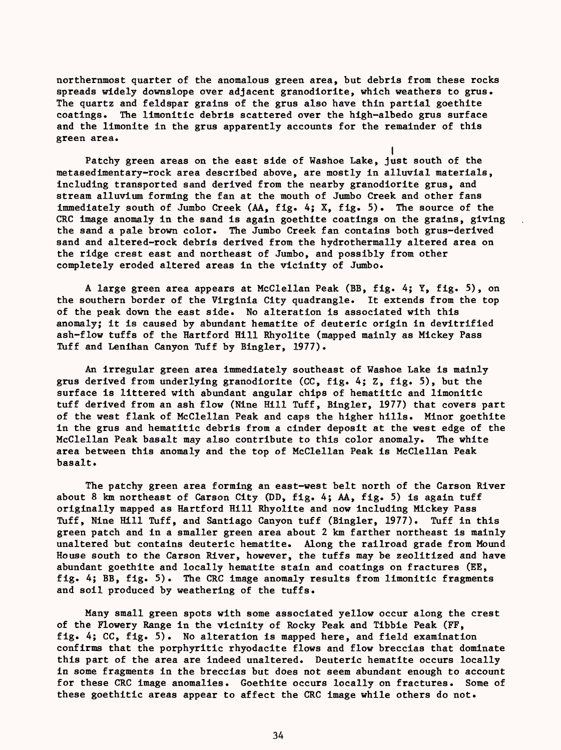northernmost quarter of the anomalous green area, but debris from these rocks spreads widely downslope over adjacent granodiorite, which weathers to grus. The quartz and feldspar grains of the grus also have thin partial goethite coatings. The limonitic debris scattered over the high-albedo grus surface and the limonite in the grus apparently accounts for the remainder of this green area.

 $\cdot$ Patchy green areas on the east side of Washoe Lake, just south of the metasedimentary-rock area described above, are mostly in alluvial materials, including transported sand derived from the nearby granodiorite grus, and stream alluvium forming the fan at the mouth of Jumbo Creek and other fans immediately south of Jumbo Creek (AA, fig. 4; X, fig. 5). The source of the CRC image anomaly in the sand is again goethite coatings on the grains, giving the sand a pale brown color. The Jumbo Creek fan contains both grus-derived sand and altered-rock debris derived from the hydrothermally altered area on the ridge crest east and northeast of Jumbo, and possibly from other completely eroded altered areas in the vicinity of Jumbo.

A large green area appears at McClellan Peak (BB, fig. 4; Y, fig. 5), on the southern border of the Virginia City quadrangle. It extends from the top of the peak down the east side. No alteration is associated with this anomaly; it is caused by abundant hematite of deuteric origin in devitrified ash-flow tuffs of the Hartford Hill Rhyolite (mapped mainly as Mickey Pass Tuff and Lenihan Canyon Tuff by Bingler, 1977).

An irregular green area immediately southeast of Washoe Lake is mainly grus derived from underlying granodiorite (CC, fig. 4; Z, fig. 5), but the surface is littered with abundant angular chips of hematitic and limonitic tuff derived from an ash flow (Nine Hill Tuff, Bingler, 1977) that covers part of the west flank of McClellan Peak and caps the higher hills. Minor goethite in the grus and hematitic debris from a cinder deposit at the west edge of the McClellan Peak basalt may also contribute to this color anomaly. The white area between this anomaly and the top of McClellan Peak is McClellan Peak basalt.

The patchy green area forming an east-west belt north of the Carson River about 8 km northeast of Carson City (DD, fig. 4; AA, fig. 5) is again tuff originally mapped as Hartford Hill Rhyolite and now including Mickey Pass Tuff, Nine Hill Tuff, and Santiago Canyon tuff (Bingler, 1977). Tuff in this green patch and in a smaller green area about 2 km farther northeast is mainly unaltered but contains deuteric hematite. Along the railroad grade from Mound House south to the Carson River, however, the tuffs may be zeolitized and have abundant goethite and locally hematite stain and coatings on fractures (EE, fig. 4; BB, fig. 5). The CRC image anomaly results from limonitic fragments and soil produced by weathering of the tuffs.

Many small green spots with some associated yellow occur along the crest of the Flowery Range in the vicinity of Rocky Peak and Tibbie Peak (FF, fig. 4; CC, fig. 5). No alteration is mapped here, and field examination confirms that the porphyritic rhyodacite flows and flow breccias that dominate this part of the area are indeed unaltered. Deuteric hematite occurs locally in some fragments in the breccias but does not seem abundant enough to account for these CRC image anomalies. Goethite occurs locally on fractures. Some of these goethitic areas appear to affect the CRC image while others do not.

34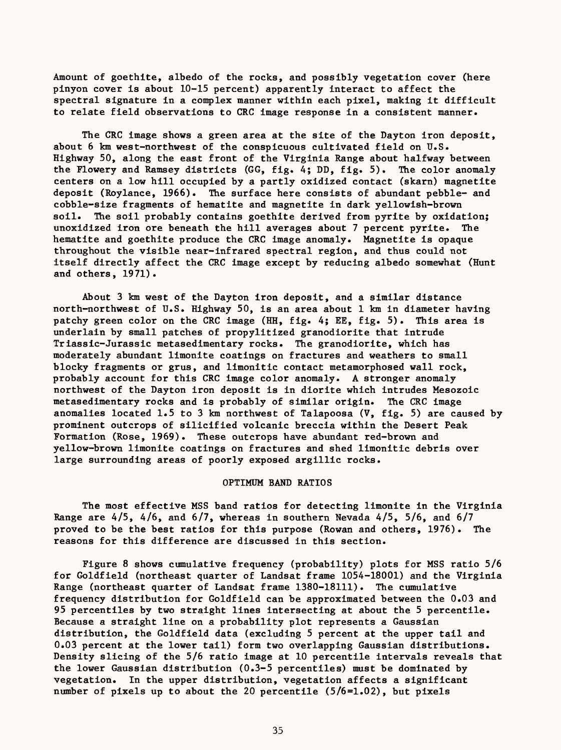Amount of goethite, albedo of the rocks, and possibly vegetation cover (here pinyon cover is about 10-15 percent) apparently interact to affect the spectral signature in a complex manner within each pixel, making it difficult to relate field observations to CRC image response in a consistent manner.

The CRC image shows a green area at the site of the Dayton iron deposit, about 6 km west-northwest of the conspicuous cultivated field on U.S. Highway 50, along the east front of the Virginia Range about halfway between the Flowery and Ramsey districts (GG, fig. 4; DD, fig. 5). The color anomaly centers on a low hill occupied by a partly oxidized contact (skarn) magnetite deposit (Roylance, 1966). The surface here consists of abundant pebble- and cobble-size fragments of hematite and magnetite in dark yellowish-brown soil. The soil probably contains goethite derived from pyrite by oxidation; unoxidized iron ore beneath the hill averages about 7 percent pyrite. The hematite and goethite produce the CRC image anomaly. Magnetite is opaque throughout the visible near-infrared spectral region, and thus could not itself directly affect the CRC image except by reducing albedo somewhat (Hunt and others, 1971).

About 3 km west of the Dayton iron deposit, and a similar distance north-northwest of U.S. Highway 50, is an area about 1 km in diameter having patchy green color on the CRC image (HH, fig. 4; EE, fig. 5). This area is underlain by small patches of propylitized granodiorite that intrude Triassic-Jurassic metasedimentary rocks. The granodiorite, which has moderately abundant limonite coatings on fractures and weathers to small blocky fragments or grus, and limonitic contact metamorphosed wall rock, probably account for this CRC image color anomaly. A stronger anomaly northwest of the Dayton iron deposit is in diorite which intrudes Mesozoic metasedimentary rocks and is probably of similar origin. The CRC image anomalies located 1.5 to 3 km northwest of Talapoosa (V, fig. 5) are caused by prominent outcrops of silicified volcanic breccia within the Desert Peak Formation (Rose, 1969). These outcrops have abundant red-brown and yellow-brown limonite coatings on fractures and shed limonitic debris over large surrounding areas of poorly exposed argillic rocks.

# OPTIMUM BAND RATIOS

The most effective MSS band ratios for detecting limonite in the Virginia Range are  $4/5$ ,  $4/6$ , and  $6/7$ , whereas in southern Nevada  $4/5$ ,  $5/6$ , and  $6/7$ proved to be the best ratios for this purpose (Rowan and others, 1976). The reasons for this difference are discussed in this section.

Figure 8 shows cumulative frequency (probability) plots for MSS ratio 5/6 for Goldfield (northeast quarter of Landsat frame 1054-18001) and the Virginia Range (northeast quarter of Landsat frame 1380-18111). The cumulative frequency distribution for Goldfield can be approximated between the 0.03 and 95 percentiles by two straight lines intersecting at about the 5 percentile. Because a straight line on a probability plot represents a Gaussian distribution, the Goldfield data (excluding 5 percent at the upper tail and 0.03 percent at the lower tail) form two overlapping Gaussian distributions. Density slicing of the 5/6 ratio image at 10 percentile intervals reveals that the lower Gaussian distribution (0.3-5 percentiles) must be dominated by vegetation. In the upper distribution, vegetation affects a significant number of pixels up to about the 20 percentile (5/6=1.02), but pixels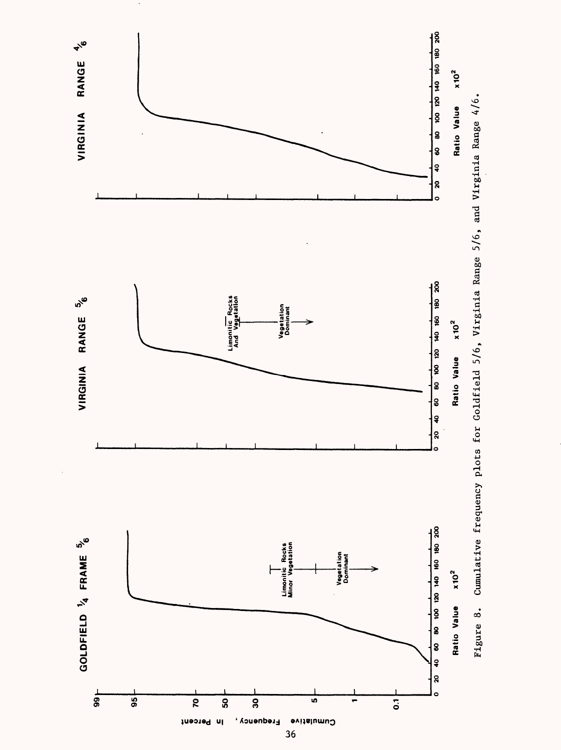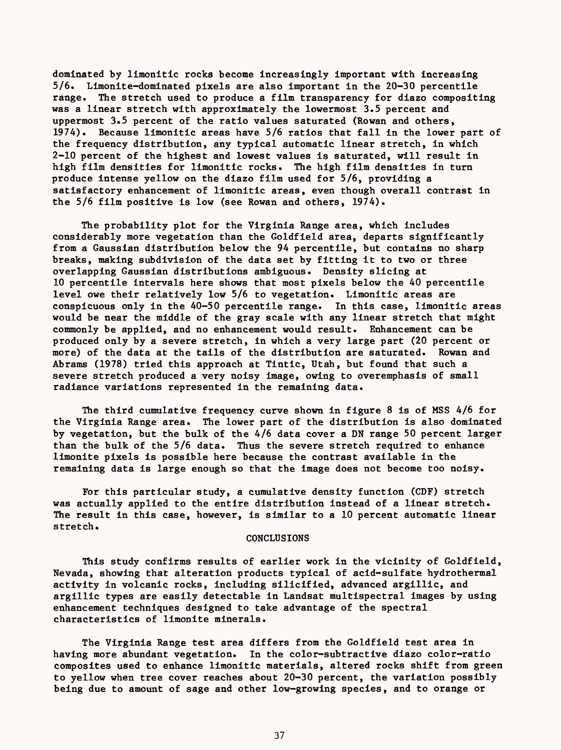dominated by limonitic rocks become increasingly important with increasing 5/6. Limonite-dominated pixels are also important in the 20-30 percentile range. The stretch used to produce a film transparency for diazo compositing was a linear stretch with approximately the lowermost 3.5 percent and uppermost 3.5 percent of the ratio values saturated (Rowan and others, 1974). Because limonitic areas have 5/6 ratios that fall in the lower part of the frequency distribution, any typical automatic linear stretch, in which 2-10 percent of the highest and lowest values is saturated, will result in high film densities for limonitic rocks. The high film densities in turn produce intense yellow on the diazo film used for 5/6, providing a satisfactory enhancement of limonitic areas, even though overall contrast in the 5/6 film positive is low (see Rowan and others, 1974).

The probability plot for the Virginia Range area, which includes considerably more vegetation than the Goldfield area, departs significantly from a Gaussian distribution below the 94 percentile, but contains no sharp breaks, making subdivision of the data set by fitting it to two or three overlapping Gaussian distributions ambiguous. Density slicing at 10 percentile intervals here shows that most pixels below the 40 percentile level owe their relatively low 5/6 to vegetation. Limonitic areas are conspicuous only in the 40-50 percentile range. In this case, limonitic areas would be near the middle of the gray scale with any linear stretch that might commonly be applied, and no enhancement would result. Enhancement can be produced only by a severe stretch, in which a very large part (20 percent or more) of the data at the tails of the distribution are saturated. Rowan and Abrams (1978) tried this approach at Tintic, Utah, but found that such a severe stretch produced a very noisy image, owing to overemphasis of small radiance variations represented in the remaining data.

The third cumulative frequency curve shown in figure 8 is of MSS 4/6 for the Virginia Range area. The lower part of the distribution is also dominated by vegetation, but the bulk of the 4/6 data cover a DN range 50 percent larger than the bulk of the 5/6 data. Thus the severe stretch required to enhance limonite pixels is possible here because the contrast available in the remaining data is large enough so that the image does not become too noisy.

For this particular study, a cumulative density function (CDF) stretch was actually applied to the entire distribution instead of a linear stretch. The result in this case, however, is similar to a 10 percent automatic linear stretch.

## **CONCLUSIONS**

This study confirms results of earlier work in the vicinity of Goldfield, Nevada, showing that alteration products typical of acid-sulfate hydrothermal activity in volcanic rocks, including silicified, advanced argillic, and argillic types are easily detectable in Landsat multispectral images by using enhancement techniques designed to take advantage of the spectral characteristics of limonite minerals.

The Virginia Range test area differs from the Goldfield test area in having more abundant vegetation. In the color-subtractive diazo color-ratio composites used to enhance limonitic materials, altered rocks shift from green to yellow when tree cover reaches about 20-30 percent, the variation possibly being due to amount of sage and other low-growing species, and to orange or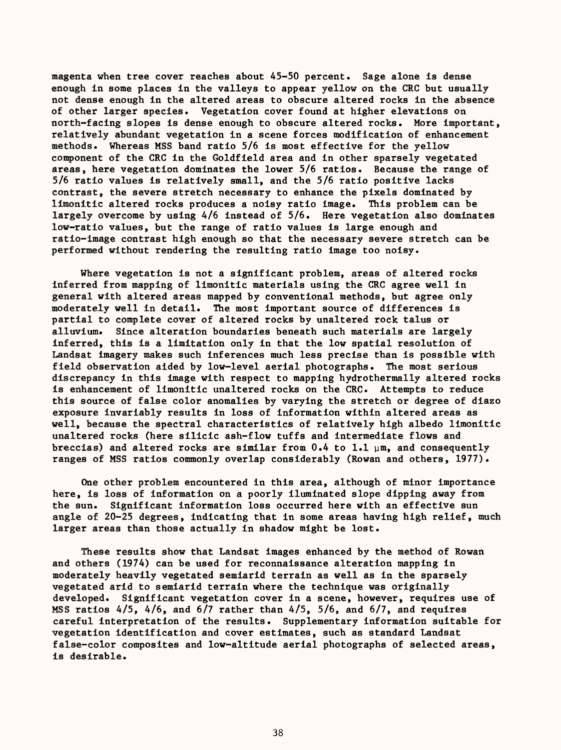magenta when tree cover reaches about 45-50 percent. Sage alone is dense enough in some places in the valleys to appear yellow on the CRC but usually not dense enough in the altered areas to obscure altered rocks in the absence of other larger species. Vegetation cover found at higher elevations on north-facing slopes is dense enough to obscure altered rocks. More important, relatively abundant vegetation in a scene forces modification of enhancement methods. Whereas MSS band ratio 5/6 is most effective for the yellow component of the CRC in the Goldfield area and in other sparsely vegetated areas, here vegetation dominates the lower  $5/6$  ratios. Because the range of 5/6 ratio values is relatively small, and the 5/6 ratio positive lacks contrast, the severe stretch necessary to enhance the pixels dominated by limonitic altered rocks produces a noisy ratio image. This problem can be largely overcome by using 4/6 instead of 5/6. Here vegetation also dominates low-ratio values, but the range of ratio values is large enough and ratio-image contrast high enough so that the necessary severe stretch can be performed without rendering the resulting ratio image too noisy.

Where vegetation is not a significant problem, areas of altered rocks inferred from mapping of limonitic materials using the CRC agree well in general with altered areas mapped by conventional methods, but agree only moderately well in detail. The most important source of differences is partial to complete cover of altered rocks by unaltered rock talus or alluvium. Since alteration boundaries beneath such materials are largely inferred, this is a limitation only in that the low spatial resolution of Landsat imagery makes such inferences much less precise than is possible with field observation aided by low-level aerial photographs. The most serious discrepancy in this image with respect to mapping hydrothermally altered rocks is enhancement of limonitic unaltered rocks on the CRC. Attempts to reduce this source of false color anomalies by varying the stretch or degree of diazo exposure invariably results in loss of information within altered areas as well, because the spectral characteristics of relatively high albedo limonitic unaltered rocks (here silicic ash-flow tuffs and intermediate flows and breccias) and altered rocks are similar from  $0.4$  to  $1.1$   $\mu$ m, and consequently ranges of MSS ratios commonly overlap considerably (Rowan and others, 1977).

One other problem encountered in this area, although of minor importance here, is loss of information on a poorly iluminated slope dipping away from the sun. Significant information loss occurred here with an effective sun angle of 20-25 degrees, indicating that in some areas having high relief, much larger areas than those actually in shadow might be lost.

These results show that Landsat images enhanced by the method of Rowan and others (1974) can be used for reconnaissance alteration mapping in moderately heavily vegetated semiarid terrain as well as in the sparsely vegetated arid to semiarid terrain where the technique was originally developed. Significant vegetation cover in a scene, however, requires use of MSS ratios 4/5, 4/6, and 6/7 rather than 4/5, 5/6, and 6/7, and requires careful interpretation of the results. Supplementary information suitable for vegetation identification and cover estimates, such as standard Landsat false-color composites and low-altitude aerial photographs of selected areas, is desirable.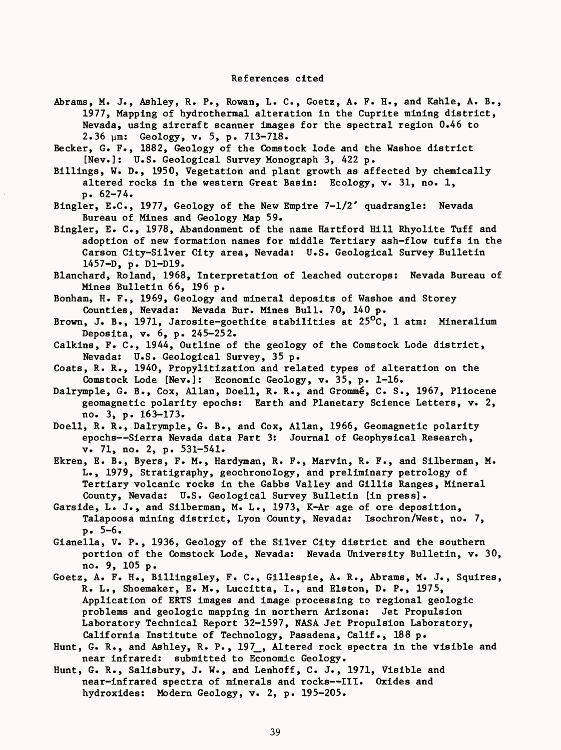Abrams, M. J., Ashley, R. P., Rowan, L. C., Goetz, A. F. H., and Kahle, A. B., 1977, Mapping of hydrothermal alteration in the Cuprite mining district, Nevada, using aircraft scanner images for the spectral region 0.46 to 2.36 ym: Geology, v. 5, p. 713-718.

Becker, G. F., 1882, Geology of the Comstock lode and the Washoe district [Nev.]: U.S. Geological Survey Monograph 3, 422 p.

Billings, W. D., 1950, Vegetation and plant growth as affected by chemically altered rocks in the western Great Basin: Ecology, v. 31, no. 1, p. 62-74.

Bingler, E.G., 1977, Geology of the New Empire 7-1/2' quadrangle: Nevada Bureau of Mines and Geology Map 59.

Bingler, E. C., 1978, Abandonment of the name Hartford Hill Rhyolite Tuff and adoption of new formation names for middle Tertiary ash-flow tuffs in the Carson City-Silver City area, Nevada: U.S. Geological Survey Bulletin 1457-D, p. D1-D19.

Blanchard, Roland, 1968, Interpretation of leached outcrops: Nevada Bureau of Mines Bulletin 66, 196 p.

Bonham, H. F., 1969, Geology and mineral deposits of Washoe and Storey Counties, Nevada: Nevada Bur. Mines Bull. 70, 140 p.

Brown, J. B., 1971, Jarosite-goethite stabilities at  $25^{\circ}$ C, 1 atm: Mineralium Deposita, v. 6, p. 245-252.

Calkins, F. C., 1944, Outline of the geology of the Comstock Lode district, Nevada: U.S. Geological Survey, 35 p.

Coats, R. R., 1940, Propylitization and related types of alteration on the Comstock Lode [Nev.]: Economic Geology, v. 35, p. 1-16.

Dalrymple, G. B., Cox, Allan, Doell, R. R., and Grommé, C. S., 1967, Pliocene geomagnetic polarity epochs: Earth and Planetary Science Letters, v. 2, no. 3, p. 163-173.

Doell, R. R., Dalrymple, G. B., and Cox, Allan, 1966, Geomagnetic polarity epochs--Sierra Nevada data Part 3: Journal of Geophysical Research, v. 71, no. 2, p. 531-541.

Ekren, E. B., Byers, F. M., Hardyman, R. F., Marvin, R. F., and Silberman, M. L., 1979, Stratigraphy, geochronology, and preliminary petrology of Tertiary volcanic rocks in the Gabbs Valley and Gillis Ranges, Mineral County, Nevada: U.S. Geological Survey Bulletin [in press].

Garside, L. J., and Silberman, M. L., 1973, K-Ar age of ore deposition, Talapoosa mining district, Lyon County, Nevada: Isochron/West, no. 7, p. 5-6.

Gianella, V. P., 1936, Geology of the Silver City district and the southern portion of the Comstock Lode, Nevada: Nevada University Bulletin, v. 30, no. 9, 105 p.

Goetz, A. F. H., Billingsley, F. C., Gillespie, A. R., Abrams, M. J., Squires, R. L., Shoemaker, E. M., Luccitta, I., and Elston, D. P., 1975, Application of ERTS images and image processing to regional geologic problems and geologic mapping in northern Arizona: Jet Propulsion Laboratory Technical Report 32-1597, NASA Jet Propulsion Laboratory, California Institute of Technology, Pasadena, Calif., 188 p.

Hunt, G. R., and Ashley, R. P., 197<sub>,</sub> Altered rock spectra in the visible and near infrared: submitted to Economic Geology.

Hunt, G. R., Salisbury, J. W., and Lenhoff, C. J., 1971, Visible and near-infrared spectra of minerals and rocks--III. Oxides and hydroxides: Modern Geology, v. 2, p. 195-205.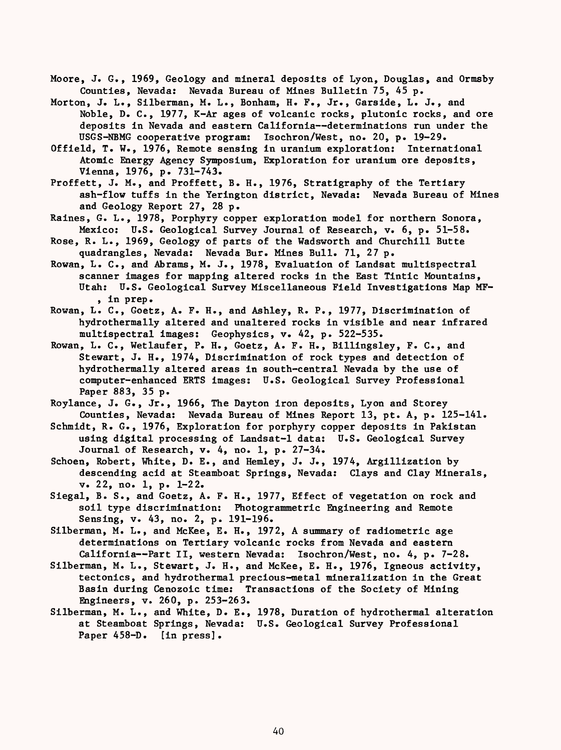- Moore, J. G., 1969, Geology and mineral deposits of Lyon, Douglas, and Ormsby Counties, Nevada: Nevada Bureau of Mines Bulletin 75, 45 p.
- Morton, J. L., Silberman, M. L., Bonham, H. F., Jr., Garside, L. J., and Noble, D. C., 1977, K-Ar ages of volcanic rocks, plutonic rocks, and ore deposits in Nevada and eastern California--determinations run under the USGS-NBMG cooperative program: Isochron/West, no. 20, p. 19-29.
- Offield, T. W., 1976, Remote sensing in uranium exploration: International Atomic Energy Agency Symposium, Exploration for uranium ore deposits, Vienna, 1976, p. 731-743.
- Proffett, J. M., and Proffett, B. H., 1976, Stratigraphy of the Tertiary ash-flow tuffs in the Yerington district, Nevada: Nevada Bureau of Mines and Geology Report 27, 28 p.
- Raines, G. L., 1978, Porphyry copper exploration model for northern Sonora, Mexico: U.S. Geological Survey Journal of Research, v. 6, p. 51-58.
- Rose, R. L., 1969, Geology of parts of the Wadsworth and Churchill Butte quadrangles, Nevada: Nevada Bur. Mines Bull. 71, 27 p.
- Rowan, L. C., and Abrams, M. J., 1978, Evaluation of Landsat multispectral scanner images for mapping altered rocks in the East Tintic Mountains, Utah: U.S. Geological Survey Miscellaneous Field Investigations Map MF- , in prep.
- Rowan, L. C., Goetz, A. F. H., and Ashley, R. P., 1977, Discrimination of hydrothermally altered and unaltered rocks in visible and near infrared multispectral images: Geophysics, v. 42, p. 522-535.
- Rowan, L. C., Wetlaufer, P. H., Goetz, A. F. H., Billingsley, F. C., and Stewart, J. H., 1974, Discrimination of rock types and detection of hydrothermally altered areas in south-central Nevada by the use of computer-enhanced ERTS images: U.S. Geological Survey Professional Paper 883, 35 p.
- Roylance, J. G., Jr., 1966, The Dayton iron deposits, Lyon and Storey Counties, Nevada: Nevada Bureau of Mines Report 13, pt. A, p. 125-141.
- Schmidt, R. G., 1976, Exploration for porphyry copper deposits in Pakistan using digital processing of Landsat-1 data: U.S. Geological Survey Journal of Research, v. 4, no. 1, p. 27-34.
- Schoen, Robert, White, D. E., and Hemley, J. J., 1974, Argillization by descending acid at Steamboat Springs, Nevada: Clays and Clay Minerals, v. 22, no. 1, p. 1-22.
- Siegal, B. S., and Goetz, A. F. H., 1977, Effect of vegetation on rock and soil type discrimination: Photogrammetric Engineering and Remote Sensing, v. 43, no. 2, p. 191-196.
- Silberman, M. L., and McKee, E. H., 1972, A summary of radiometric age determinations on Tertiary volcanic rocks from Nevada and eastern California--Part II, western Nevada: Isochron/West, no. 4, p. 7-28.
- Silberman, M. L., Stewart, J. H., and McKee, E. H., 1976, Igneous activity, tectonics, and hydrothermal precious-metal mineralization in the Great Basin during Cenozoic time: Transactions of the Society of Mining Engineers, v. 260, p. 253-263.
- Silberman, M. L., and White, D. E., 1978, Duration of hydrothermal alteration at Steamboat Springs, Nevada: U.S. Geological Survey Professional Paper 458-D. [in press].